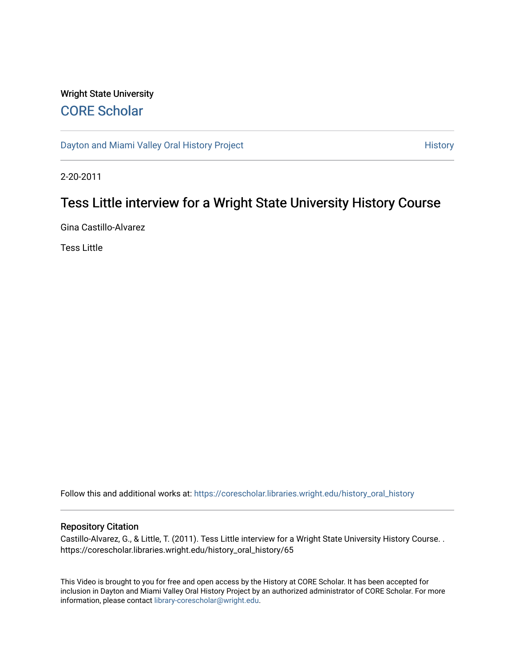# Wright State University [CORE Scholar](https://corescholar.libraries.wright.edu/)

[Dayton and Miami Valley Oral History Project](https://corescholar.libraries.wright.edu/history_oral_history) **History** History

2-20-2011

# Tess Little interview for a Wright State University History Course

Gina Castillo-Alvarez

Tess Little

Follow this and additional works at: [https://corescholar.libraries.wright.edu/history\\_oral\\_history](https://corescholar.libraries.wright.edu/history_oral_history?utm_source=corescholar.libraries.wright.edu%2Fhistory_oral_history%2F65&utm_medium=PDF&utm_campaign=PDFCoverPages) 

### Repository Citation

Castillo-Alvarez, G., & Little, T. (2011). Tess Little interview for a Wright State University History Course. . https://corescholar.libraries.wright.edu/history\_oral\_history/65

This Video is brought to you for free and open access by the History at CORE Scholar. It has been accepted for inclusion in Dayton and Miami Valley Oral History Project by an authorized administrator of CORE Scholar. For more information, please contact [library-corescholar@wright.edu.](mailto:library-corescholar@wright.edu)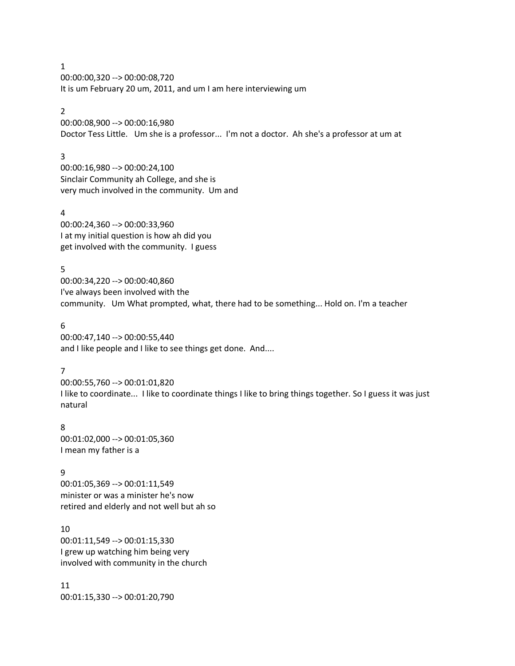1 00:00:00,320 --> 00:00:08,720 It is um February 20 um, 2011, and um I am here interviewing um

# 2

00:00:08,900 --> 00:00:16,980 Doctor Tess Little. Um she is a professor... I'm not a doctor. Ah she's a professor at um at

### 3

00:00:16,980 --> 00:00:24,100 Sinclair Community ah College, and she is very much involved in the community. Um and

### 4

00:00:24,360 --> 00:00:33,960 I at my initial question is how ah did you get involved with the community. I guess

5 00:00:34,220 --> 00:00:40,860 I've always been involved with the community. Um What prompted, what, there had to be something... Hold on. I'm a teacher

6 00:00:47,140 --> 00:00:55,440 and I like people and I like to see things get done. And....

### 7

00:00:55,760 --> 00:01:01,820 I like to coordinate... I like to coordinate things I like to bring things together. So I guess it was just natural

# 8

00:01:02,000 --> 00:01:05,360 I mean my father is a

# 9

00:01:05,369 --> 00:01:11,549 minister or was a minister he's now retired and elderly and not well but ah so

10 00:01:11,549 --> 00:01:15,330 I grew up watching him being very involved with community in the church

11 00:01:15,330 --> 00:01:20,790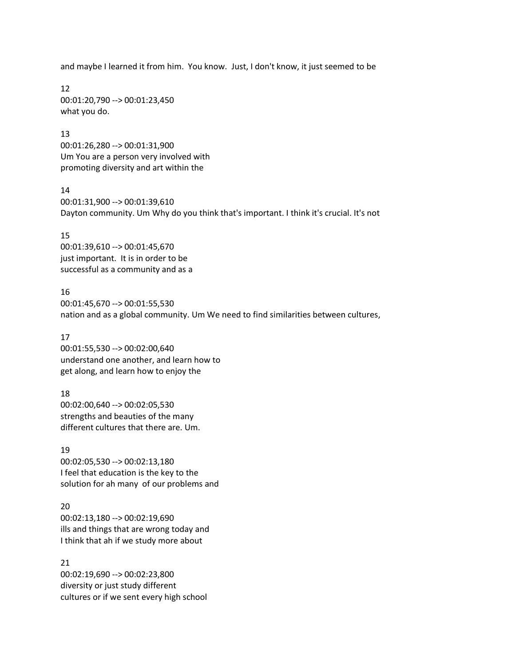and maybe I learned it from him. You know. Just, I don't know, it just seemed to be

12 00:01:20,790 --> 00:01:23,450 what you do.

### 13

00:01:26,280 --> 00:01:31,900 Um You are a person very involved with promoting diversity and art within the

### 14

00:01:31,900 --> 00:01:39,610 Dayton community. Um Why do you think that's important. I think it's crucial. It's not

# 15

00:01:39,610 --> 00:01:45,670 just important. It is in order to be successful as a community and as a

# 16

00:01:45,670 --> 00:01:55,530 nation and as a global community. Um We need to find similarities between cultures,

# 17

00:01:55,530 --> 00:02:00,640 understand one another, and learn how to get along, and learn how to enjoy the

# 18

00:02:00,640 --> 00:02:05,530 strengths and beauties of the many different cultures that there are. Um.

# 19

00:02:05,530 --> 00:02:13,180 I feel that education is the key to the solution for ah many of our problems and

# 20

00:02:13,180 --> 00:02:19,690 ills and things that are wrong today and I think that ah if we study more about

# 21

00:02:19,690 --> 00:02:23,800 diversity or just study different cultures or if we sent every high school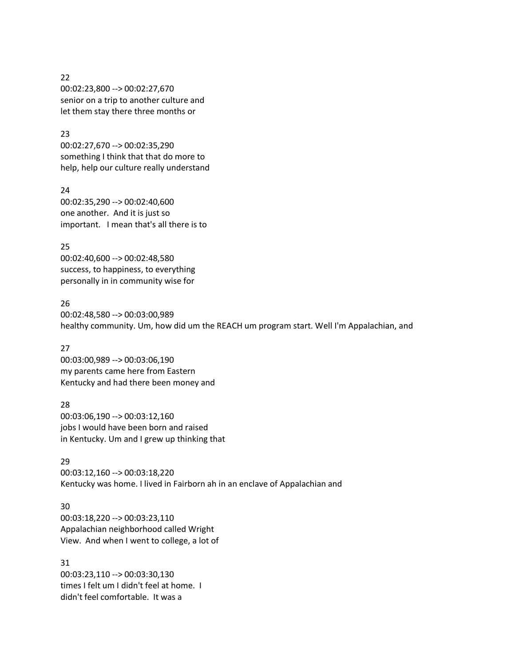### 22

00:02:23,800 --> 00:02:27,670 senior on a trip to another culture and let them stay there three months or

# 23

00:02:27,670 --> 00:02:35,290 something I think that that do more to help, help our culture really understand

# 24

00:02:35,290 --> 00:02:40,600 one another. And it is just so important. I mean that's all there is to

# 25

00:02:40,600 --> 00:02:48,580 success, to happiness, to everything personally in in community wise for

# 26

00:02:48,580 --> 00:03:00,989 healthy community. Um, how did um the REACH um program start. Well I'm Appalachian, and

# 27

00:03:00,989 --> 00:03:06,190 my parents came here from Eastern Kentucky and had there been money and

# 28

00:03:06,190 --> 00:03:12,160 jobs I would have been born and raised in Kentucky. Um and I grew up thinking that

# 29

00:03:12,160 --> 00:03:18,220 Kentucky was home. I lived in Fairborn ah in an enclave of Appalachian and

# 30

00:03:18,220 --> 00:03:23,110 Appalachian neighborhood called Wright View. And when I went to college, a lot of

31 00:03:23,110 --> 00:03:30,130 times I felt um I didn't feel at home. I didn't feel comfortable. It was a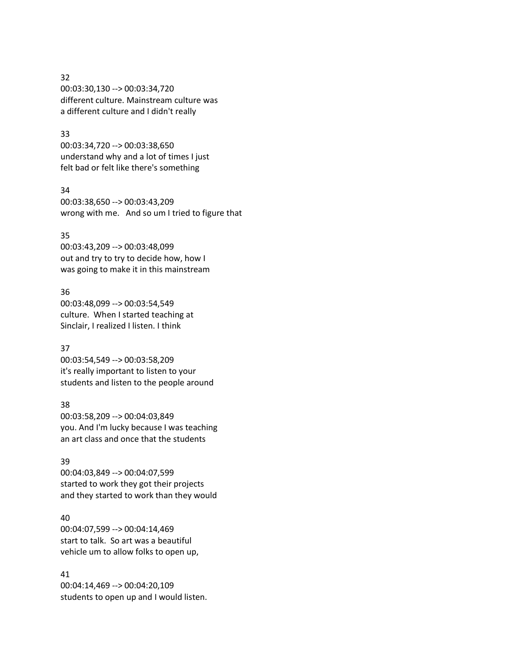### 32

00:03:30,130 --> 00:03:34,720 different culture. Mainstream culture was a different culture and I didn't really

# 33

00:03:34,720 --> 00:03:38,650 understand why and a lot of times I just felt bad or felt like there's something

# 34

00:03:38,650 --> 00:03:43,209 wrong with me. And so um I tried to figure that

### 35

00:03:43,209 --> 00:03:48,099 out and try to try to decide how, how I was going to make it in this mainstream

# 36

00:03:48,099 --> 00:03:54,549 culture. When I started teaching at Sinclair, I realized I listen. I think

# 37

00:03:54,549 --> 00:03:58,209 it's really important to listen to your students and listen to the people around

# 38

00:03:58,209 --> 00:04:03,849 you. And I'm lucky because I was teaching an art class and once that the students

# 39

00:04:03,849 --> 00:04:07,599 started to work they got their projects and they started to work than they would

# 40

00:04:07,599 --> 00:04:14,469 start to talk. So art was a beautiful vehicle um to allow folks to open up,

# 41

00:04:14,469 --> 00:04:20,109 students to open up and I would listen.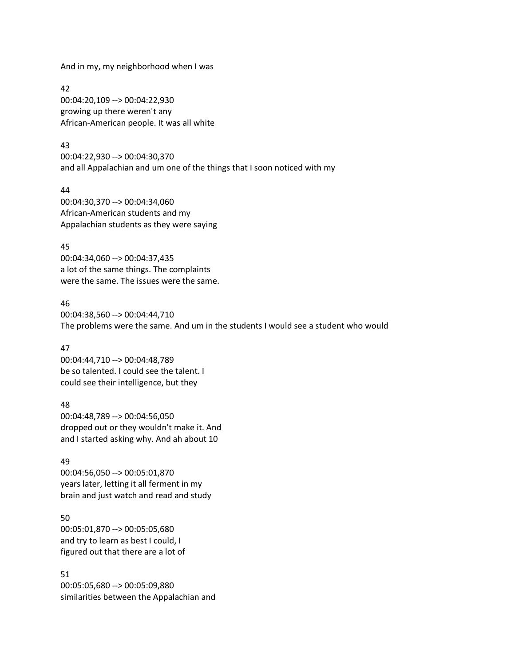And in my, my neighborhood when I was

42 00:04:20,109 --> 00:04:22,930 growing up there weren't any African-American people. It was all white

### 43

00:04:22,930 --> 00:04:30,370 and all Appalachian and um one of the things that I soon noticed with my

44 00:04:30,370 --> 00:04:34,060 African-American students and my Appalachian students as they were saying

### 45

00:04:34,060 --> 00:04:37,435 a lot of the same things. The complaints were the same. The issues were the same.

### 46

00:04:38,560 --> 00:04:44,710 The problems were the same. And um in the students I would see a student who would

# 47

00:04:44,710 --> 00:04:48,789 be so talented. I could see the talent. I could see their intelligence, but they

# 48

00:04:48,789 --> 00:04:56,050 dropped out or they wouldn't make it. And and I started asking why. And ah about 10

# 49

00:04:56,050 --> 00:05:01,870 years later, letting it all ferment in my brain and just watch and read and study

# 50

00:05:01,870 --> 00:05:05,680 and try to learn as best I could, I figured out that there are a lot of

# 51

00:05:05,680 --> 00:05:09,880 similarities between the Appalachian and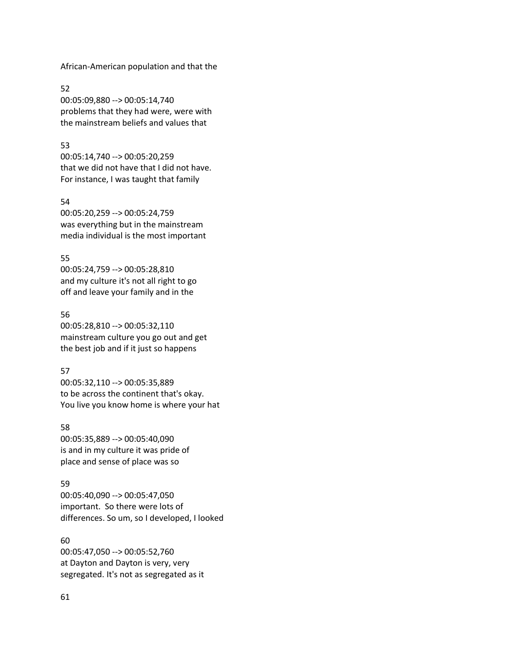African-American population and that the

52 00:05:09,880 --> 00:05:14,740 problems that they had were, were with the mainstream beliefs and values that

### 53

00:05:14,740 --> 00:05:20,259 that we did not have that I did not have. For instance, I was taught that family

### 54

00:05:20,259 --> 00:05:24,759 was everything but in the mainstream media individual is the most important

### 55

00:05:24,759 --> 00:05:28,810 and my culture it's not all right to go off and leave your family and in the

# 56

00:05:28,810 --> 00:05:32,110 mainstream culture you go out and get the best job and if it just so happens

# 57

00:05:32,110 --> 00:05:35,889 to be across the continent that's okay. You live you know home is where your hat

# 58

00:05:35,889 --> 00:05:40,090 is and in my culture it was pride of place and sense of place was so

# 59

00:05:40,090 --> 00:05:47,050 important. So there were lots of differences. So um, so I developed, I looked

# 60

00:05:47,050 --> 00:05:52,760 at Dayton and Dayton is very, very segregated. It's not as segregated as it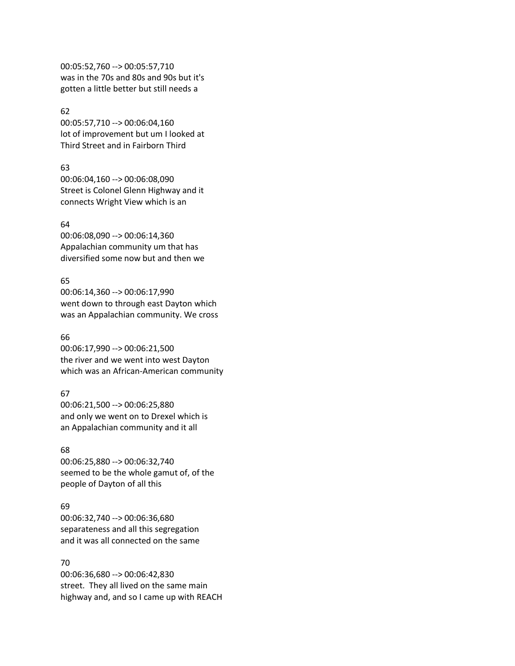00:05:52,760 --> 00:05:57,710 was in the 70s and 80s and 90s but it's gotten a little better but still needs a

# 62

00:05:57,710 --> 00:06:04,160 lot of improvement but um I looked at Third Street and in Fairborn Third

# 63

00:06:04,160 --> 00:06:08,090 Street is Colonel Glenn Highway and it connects Wright View which is an

# 64

00:06:08,090 --> 00:06:14,360 Appalachian community um that has diversified some now but and then we

# 65

00:06:14,360 --> 00:06:17,990 went down to through east Dayton which was an Appalachian community. We cross

# 66

00:06:17,990 --> 00:06:21,500 the river and we went into west Dayton which was an African-American community

# 67

00:06:21,500 --> 00:06:25,880 and only we went on to Drexel which is an Appalachian community and it all

# 68

00:06:25,880 --> 00:06:32,740 seemed to be the whole gamut of, of the people of Dayton of all this

# 69

00:06:32,740 --> 00:06:36,680 separateness and all this segregation and it was all connected on the same

# 70

00:06:36,680 --> 00:06:42,830 street. They all lived on the same main highway and, and so I came up with REACH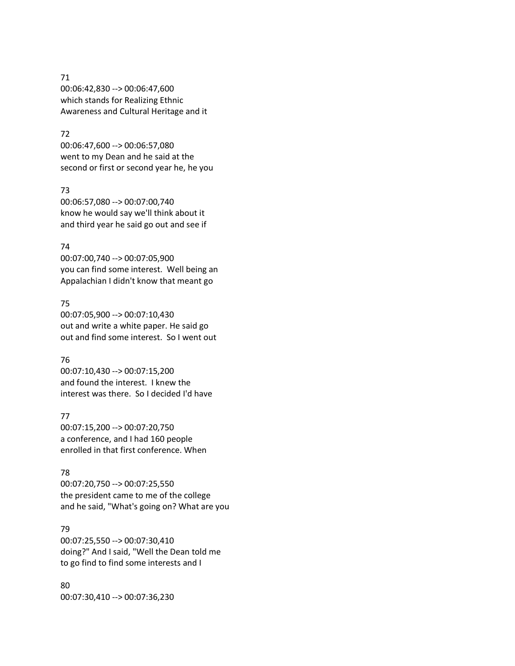### 71

00:06:42,830 --> 00:06:47,600 which stands for Realizing Ethnic Awareness and Cultural Heritage and it

# 72

00:06:47,600 --> 00:06:57,080 went to my Dean and he said at the second or first or second year he, he you

# 73

00:06:57,080 --> 00:07:00,740 know he would say we'll think about it and third year he said go out and see if

### 74

00:07:00,740 --> 00:07:05,900 you can find some interest. Well being an Appalachian I didn't know that meant go

### 75

00:07:05,900 --> 00:07:10,430 out and write a white paper. He said go out and find some interest. So I went out

# 76

00:07:10,430 --> 00:07:15,200 and found the interest. I knew the interest was there. So I decided I'd have

# 77

00:07:15,200 --> 00:07:20,750 a conference, and I had 160 people enrolled in that first conference. When

# 78

00:07:20,750 --> 00:07:25,550 the president came to me of the college and he said, "What's going on? What are you

# 79

00:07:25,550 --> 00:07:30,410 doing?" And I said, "Well the Dean told me to go find to find some interests and I

80 00:07:30,410 --> 00:07:36,230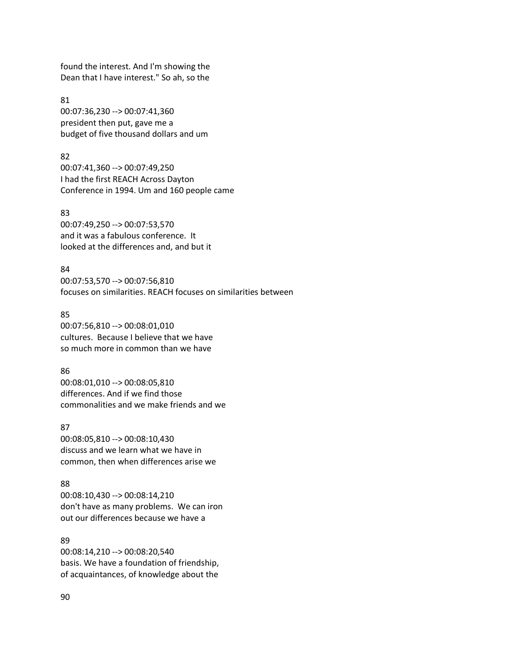found the interest. And I'm showing the Dean that I have interest." So ah, so the

81 00:07:36,230 --> 00:07:41,360 president then put, gave me a budget of five thousand dollars and um

### 82

00:07:41,360 --> 00:07:49,250 I had the first REACH Across Dayton Conference in 1994. Um and 160 people came

### 83

00:07:49,250 --> 00:07:53,570 and it was a fabulous conference. It looked at the differences and, and but it

### 84

00:07:53,570 --> 00:07:56,810 focuses on similarities. REACH focuses on similarities between

# 85

00:07:56,810 --> 00:08:01,010 cultures. Because I believe that we have so much more in common than we have

# 86

00:08:01,010 --> 00:08:05,810 differences. And if we find those commonalities and we make friends and we

# 87

00:08:05,810 --> 00:08:10,430 discuss and we learn what we have in common, then when differences arise we

# 88

00:08:10,430 --> 00:08:14,210 don't have as many problems. We can iron out our differences because we have a

89 00:08:14,210 --> 00:08:20,540 basis. We have a foundation of friendship, of acquaintances, of knowledge about the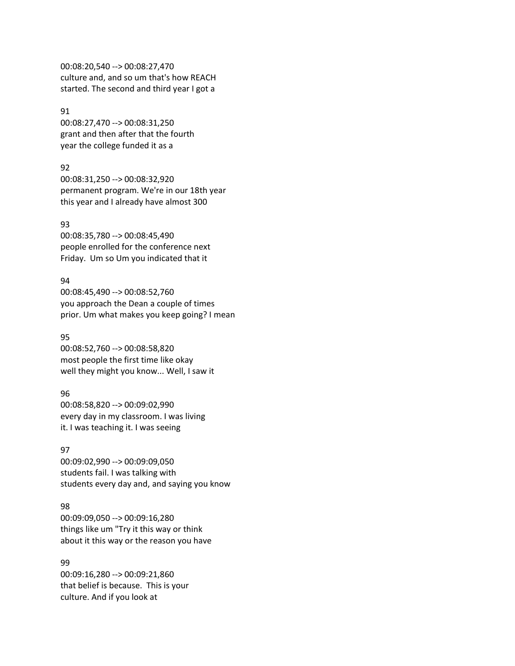00:08:20,540 --> 00:08:27,470 culture and, and so um that's how REACH started. The second and third year I got a

# 91

00:08:27,470 --> 00:08:31,250 grant and then after that the fourth year the college funded it as a

# 92

00:08:31,250 --> 00:08:32,920 permanent program. We're in our 18th year this year and I already have almost 300

### 93

00:08:35,780 --> 00:08:45,490 people enrolled for the conference next Friday. Um so Um you indicated that it

### 94

00:08:45,490 --> 00:08:52,760 you approach the Dean a couple of times prior. Um what makes you keep going? I mean

# 95

00:08:52,760 --> 00:08:58,820 most people the first time like okay well they might you know... Well, I saw it

# 96

00:08:58,820 --> 00:09:02,990 every day in my classroom. I was living it. I was teaching it. I was seeing

### 97

00:09:02,990 --> 00:09:09,050 students fail. I was talking with students every day and, and saying you know

# 98

00:09:09,050 --> 00:09:16,280 things like um "Try it this way or think about it this way or the reason you have

# 99

00:09:16,280 --> 00:09:21,860 that belief is because. This is your culture. And if you look at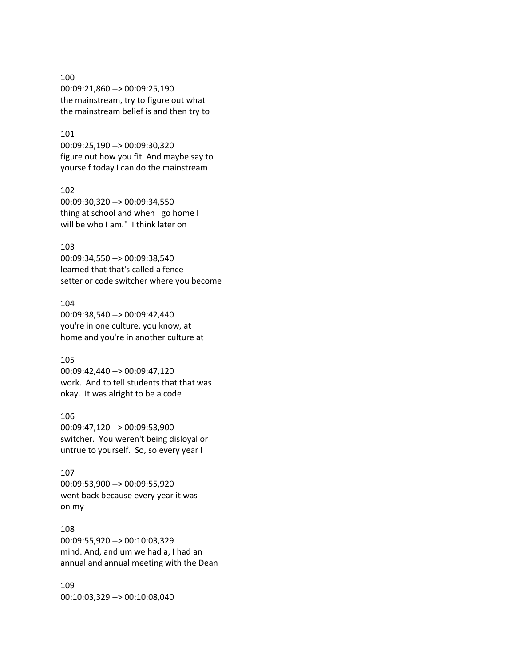# 100 00:09:21,860 --> 00:09:25,190 the mainstream, try to figure out what the mainstream belief is and then try to

# 101

00:09:25,190 --> 00:09:30,320 figure out how you fit. And maybe say to yourself today I can do the mainstream

### 102

00:09:30,320 --> 00:09:34,550 thing at school and when I go home I will be who I am." I think later on I

### 103

00:09:34,550 --> 00:09:38,540 learned that that's called a fence setter or code switcher where you become

# 104

00:09:38,540 --> 00:09:42,440 you're in one culture, you know, at home and you're in another culture at

# 105

00:09:42,440 --> 00:09:47,120 work. And to tell students that that was okay. It was alright to be a code

# 106

00:09:47,120 --> 00:09:53,900 switcher. You weren't being disloyal or untrue to yourself. So, so every year I

### 107

00:09:53,900 --> 00:09:55,920 went back because every year it was on my

# 108

00:09:55,920 --> 00:10:03,329 mind. And, and um we had a, I had an annual and annual meeting with the Dean

109 00:10:03,329 --> 00:10:08,040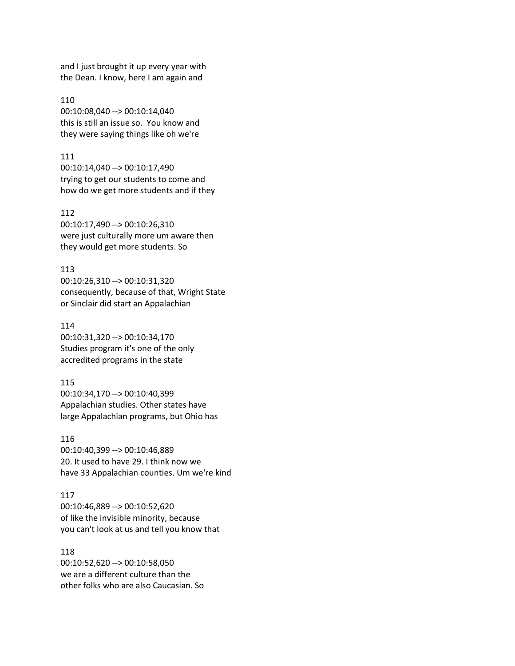and I just brought it up every year with the Dean. I know, here I am again and

110 00:10:08,040 --> 00:10:14,040 this is still an issue so. You know and they were saying things like oh we're

### 111

00:10:14,040 --> 00:10:17,490 trying to get our students to come and how do we get more students and if they

112

00:10:17,490 --> 00:10:26,310 were just culturally more um aware then they would get more students. So

113

00:10:26,310 --> 00:10:31,320 consequently, because of that, Wright State or Sinclair did start an Appalachian

114

00:10:31,320 --> 00:10:34,170 Studies program it's one of the only accredited programs in the state

### 115

00:10:34,170 --> 00:10:40,399 Appalachian studies. Other states have large Appalachian programs, but Ohio has

116

00:10:40,399 --> 00:10:46,889 20. It used to have 29. I think now we have 33 Appalachian counties. Um we're kind

### 117

00:10:46,889 --> 00:10:52,620 of like the invisible minority, because you can't look at us and tell you know that

### 118

00:10:52,620 --> 00:10:58,050 we are a different culture than the other folks who are also Caucasian. So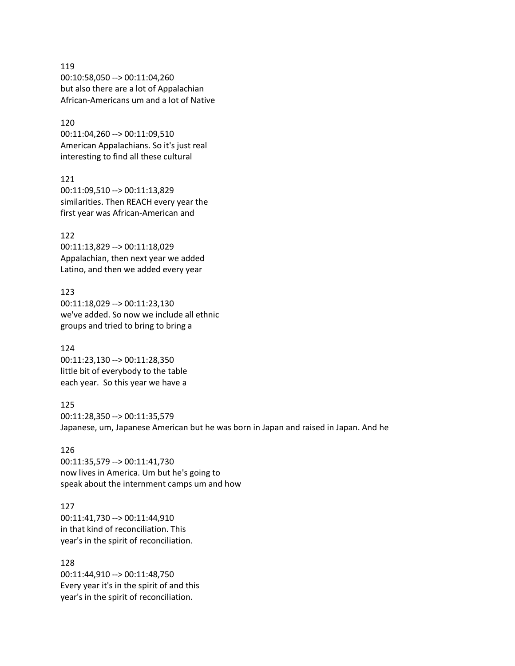119 00:10:58,050 --> 00:11:04,260 but also there are a lot of Appalachian African-Americans um and a lot of Native

120 00:11:04,260 --> 00:11:09,510 American Appalachians. So it's just real interesting to find all these cultural

121 00:11:09,510 --> 00:11:13,829 similarities. Then REACH every year the first year was African-American and

122 00:11:13,829 --> 00:11:18,029 Appalachian, then next year we added Latino, and then we added every year

123 00:11:18,029 --> 00:11:23,130 we've added. So now we include all ethnic groups and tried to bring to bring a

124 00:11:23,130 --> 00:11:28,350 little bit of everybody to the table each year. So this year we have a

125 00:11:28,350 --> 00:11:35,579 Japanese, um, Japanese American but he was born in Japan and raised in Japan. And he

126 00:11:35,579 --> 00:11:41,730 now lives in America. Um but he's going to speak about the internment camps um and how

127 00:11:41,730 --> 00:11:44,910 in that kind of reconciliation. This year's in the spirit of reconciliation.

128 00:11:44,910 --> 00:11:48,750 Every year it's in the spirit of and this year's in the spirit of reconciliation.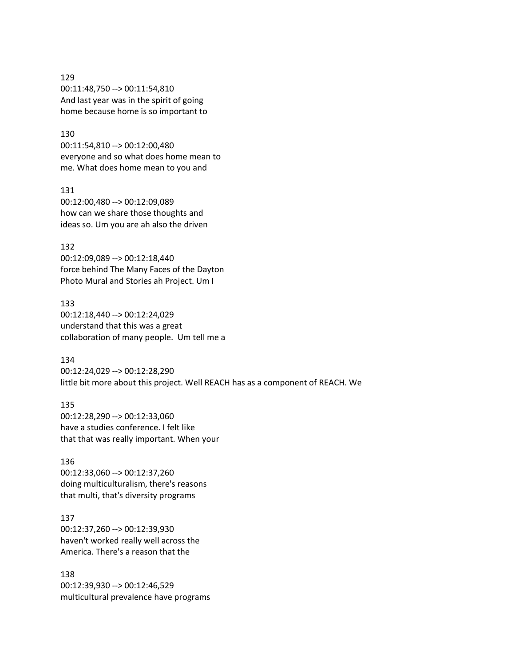129 00:11:48,750 --> 00:11:54,810 And last year was in the spirit of going home because home is so important to

# 130

00:11:54,810 --> 00:12:00,480 everyone and so what does home mean to me. What does home mean to you and

131 00:12:00,480 --> 00:12:09,089 how can we share those thoughts and ideas so. Um you are ah also the driven

132 00:12:09,089 --> 00:12:18,440 force behind The Many Faces of the Dayton Photo Mural and Stories ah Project. Um I

133 00:12:18,440 --> 00:12:24,029 understand that this was a great collaboration of many people. Um tell me a

### 134

00:12:24,029 --> 00:12:28,290 little bit more about this project. Well REACH has as a component of REACH. We

135 00:12:28,290 --> 00:12:33,060 have a studies conference. I felt like that that was really important. When your

#### 136

00:12:33,060 --> 00:12:37,260 doing multiculturalism, there's reasons that multi, that's diversity programs

### 137

00:12:37,260 --> 00:12:39,930 haven't worked really well across the America. There's a reason that the

138

00:12:39,930 --> 00:12:46,529 multicultural prevalence have programs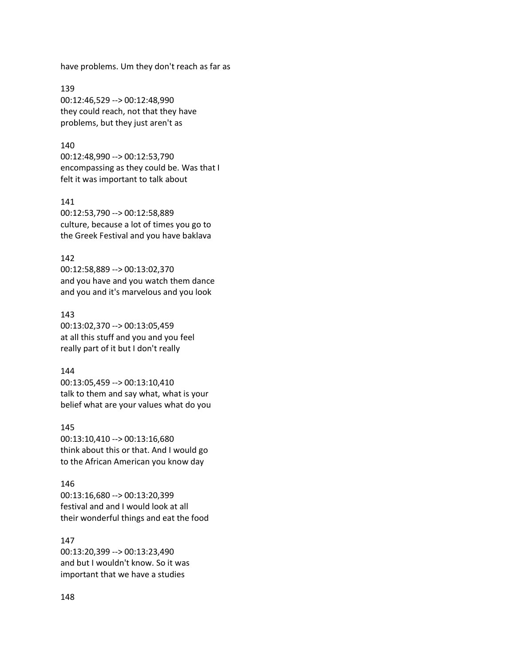have problems. Um they don't reach as far as

139 00:12:46,529 --> 00:12:48,990 they could reach, not that they have problems, but they just aren't as

### 140

00:12:48,990 --> 00:12:53,790 encompassing as they could be. Was that I felt it was important to talk about

#### 141

00:12:53,790 --> 00:12:58,889 culture, because a lot of times you go to the Greek Festival and you have baklava

#### 142

00:12:58,889 --> 00:13:02,370 and you have and you watch them dance and you and it's marvelous and you look

### 143

00:13:02,370 --> 00:13:05,459 at all this stuff and you and you feel really part of it but I don't really

### 144

00:13:05,459 --> 00:13:10,410 talk to them and say what, what is your belief what are your values what do you

145 00:13:10,410 --> 00:13:16,680 think about this or that. And I would go to the African American you know day

#### 146

00:13:16,680 --> 00:13:20,399 festival and and I would look at all their wonderful things and eat the food

# 147

00:13:20,399 --> 00:13:23,490 and but I wouldn't know. So it was important that we have a studies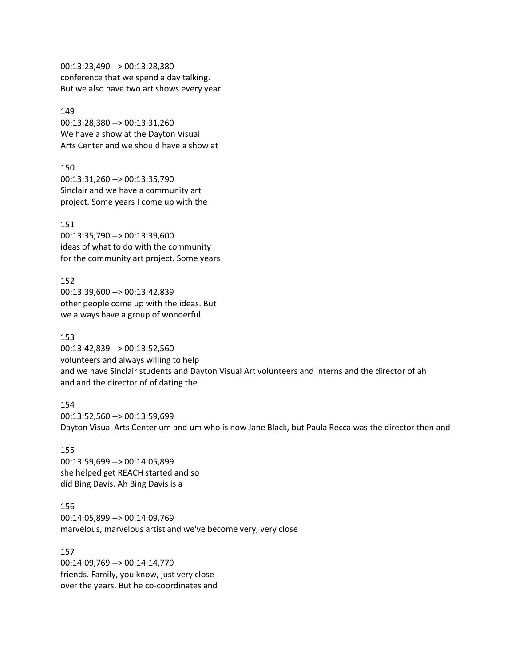00:13:23,490 --> 00:13:28,380 conference that we spend a day talking. But we also have two art shows every year.

149 00:13:28,380 --> 00:13:31,260 We have a show at the Dayton Visual Arts Center and we should have a show at

150 00:13:31,260 --> 00:13:35,790 Sinclair and we have a community art project. Some years I come up with the

151 00:13:35,790 --> 00:13:39,600 ideas of what to do with the community for the community art project. Some years

152 00:13:39,600 --> 00:13:42,839 other people come up with the ideas. But we always have a group of wonderful

### 153

00:13:42,839 --> 00:13:52,560 volunteers and always willing to help and we have Sinclair students and Dayton Visual Art volunteers and interns and the director of ah and and the director of of dating the

154 00:13:52,560 --> 00:13:59,699 Dayton Visual Arts Center um and um who is now Jane Black, but Paula Recca was the director then and

155 00:13:59,699 --> 00:14:05,899 she helped get REACH started and so did Bing Davis. Ah Bing Davis is a

156 00:14:05,899 --> 00:14:09,769 marvelous, marvelous artist and we've become very, very close

157 00:14:09,769 --> 00:14:14,779 friends. Family, you know, just very close over the years. But he co-coordinates and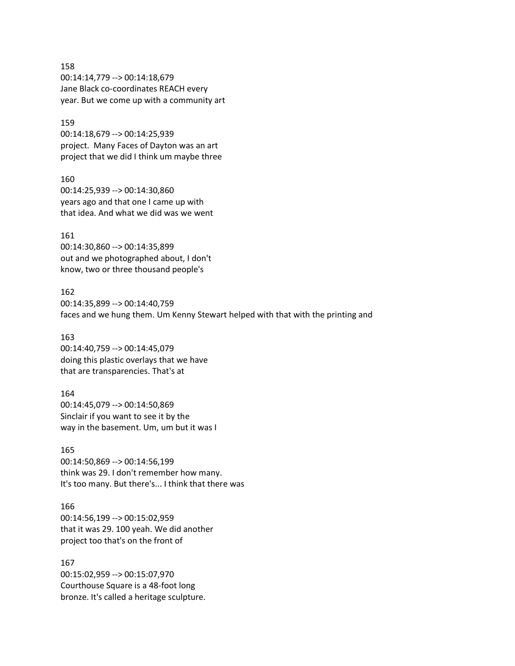158 00:14:14,779 --> 00:14:18,679 Jane Black co-coordinates REACH every year. But we come up with a community art

159 00:14:18,679 --> 00:14:25,939 project. Many Faces of Dayton was an art project that we did I think um maybe three

160 00:14:25,939 --> 00:14:30,860 years ago and that one I came up with that idea. And what we did was we went

161 00:14:30,860 --> 00:14:35,899 out and we photographed about, I don't know, two or three thousand people's

162 00:14:35,899 --> 00:14:40,759 faces and we hung them. Um Kenny Stewart helped with that with the printing and

163 00:14:40,759 --> 00:14:45,079 doing this plastic overlays that we have that are transparencies. That's at

164 00:14:45,079 --> 00:14:50,869 Sinclair if you want to see it by the way in the basement. Um, um but it was I

165 00:14:50,869 --> 00:14:56,199 think was 29. I don't remember how many. It's too many. But there's... I think that there was

166 00:14:56,199 --> 00:15:02,959 that it was 29. 100 yeah. We did another project too that's on the front of

167 00:15:02,959 --> 00:15:07,970 Courthouse Square is a 48-foot long bronze. It's called a heritage sculpture.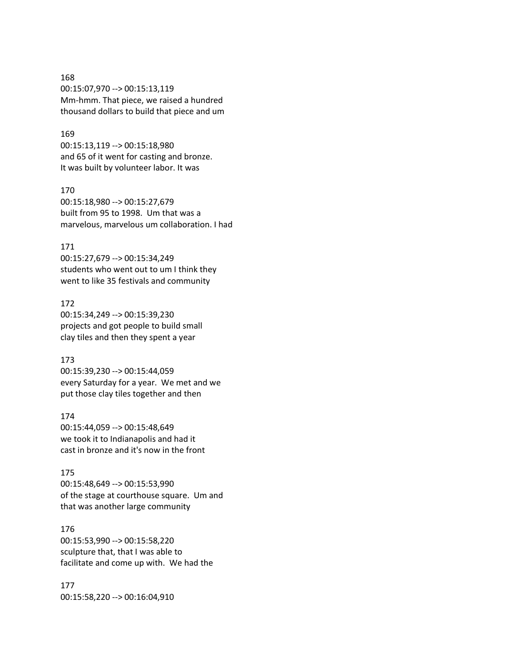# 168 00:15:07,970 --> 00:15:13,119 Mm-hmm. That piece, we raised a hundred thousand dollars to build that piece and um

# 169

00:15:13,119 --> 00:15:18,980 and 65 of it went for casting and bronze. It was built by volunteer labor. It was

### 170

00:15:18,980 --> 00:15:27,679 built from 95 to 1998. Um that was a marvelous, marvelous um collaboration. I had

# 171

00:15:27,679 --> 00:15:34,249 students who went out to um I think they went to like 35 festivals and community

### 172

00:15:34,249 --> 00:15:39,230 projects and got people to build small clay tiles and then they spent a year

# 173

00:15:39,230 --> 00:15:44,059 every Saturday for a year. We met and we put those clay tiles together and then

### 174

00:15:44,059 --> 00:15:48,649 we took it to Indianapolis and had it cast in bronze and it's now in the front

### 175

00:15:48,649 --> 00:15:53,990 of the stage at courthouse square. Um and that was another large community

# 176

00:15:53,990 --> 00:15:58,220 sculpture that, that I was able to facilitate and come up with. We had the

177 00:15:58,220 --> 00:16:04,910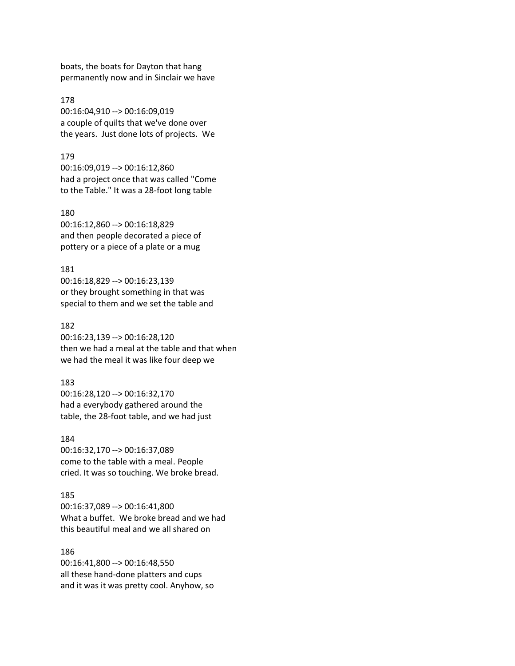boats, the boats for Dayton that hang permanently now and in Sinclair we have

178 00:16:04,910 --> 00:16:09,019 a couple of quilts that we've done over the years. Just done lots of projects. We

#### 179

00:16:09,019 --> 00:16:12,860 had a project once that was called "Come to the Table." It was a 28-foot long table

### 180

00:16:12,860 --> 00:16:18,829 and then people decorated a piece of pottery or a piece of a plate or a mug

### 181

00:16:18,829 --> 00:16:23,139 or they brought something in that was special to them and we set the table and

#### 182

00:16:23,139 --> 00:16:28,120 then we had a meal at the table and that when we had the meal it was like four deep we

### 183

00:16:28,120 --> 00:16:32,170 had a everybody gathered around the table, the 28-foot table, and we had just

# 184

00:16:32,170 --> 00:16:37,089 come to the table with a meal. People cried. It was so touching. We broke bread.

### 185

00:16:37,089 --> 00:16:41,800 What a buffet. We broke bread and we had this beautiful meal and we all shared on

### 186

00:16:41,800 --> 00:16:48,550 all these hand-done platters and cups and it was it was pretty cool. Anyhow, so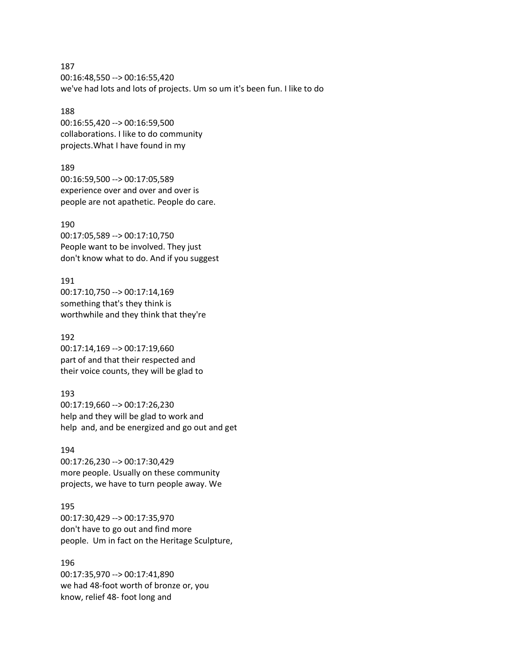187 00:16:48,550 --> 00:16:55,420 we've had lots and lots of projects. Um so um it's been fun. I like to do

# 188

00:16:55,420 --> 00:16:59,500 collaborations. I like to do community projects.What I have found in my

189 00:16:59,500 --> 00:17:05,589 experience over and over and over is people are not apathetic. People do care.

# 190

00:17:05,589 --> 00:17:10,750 People want to be involved. They just don't know what to do. And if you suggest

191 00:17:10,750 --> 00:17:14,169 something that's they think is worthwhile and they think that they're

# 192

00:17:14,169 --> 00:17:19,660 part of and that their respected and their voice counts, they will be glad to

# 193

00:17:19,660 --> 00:17:26,230 help and they will be glad to work and help and, and be energized and go out and get

### 194

00:17:26,230 --> 00:17:30,429 more people. Usually on these community projects, we have to turn people away. We

# 195

00:17:30,429 --> 00:17:35,970 don't have to go out and find more people. Um in fact on the Heritage Sculpture,

# 196

00:17:35,970 --> 00:17:41,890 we had 48-foot worth of bronze or, you know, relief 48- foot long and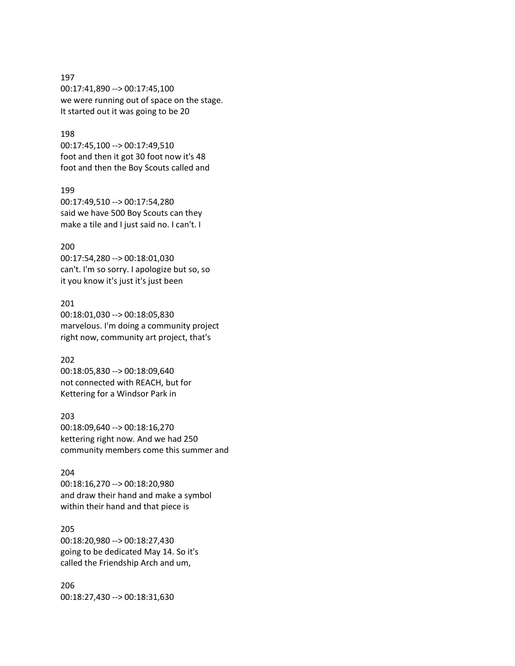### 197

00:17:41,890 --> 00:17:45,100 we were running out of space on the stage. It started out it was going to be 20

# 198

00:17:45,100 --> 00:17:49,510 foot and then it got 30 foot now it's 48 foot and then the Boy Scouts called and

### 199

00:17:49,510 --> 00:17:54,280 said we have 500 Boy Scouts can they make a tile and I just said no. I can't. I

### 200

00:17:54,280 --> 00:18:01,030 can't. I'm so sorry. I apologize but so, so it you know it's just it's just been

# 201

00:18:01,030 --> 00:18:05,830 marvelous. I'm doing a community project right now, community art project, that's

### 202

00:18:05,830 --> 00:18:09,640 not connected with REACH, but for Kettering for a Windsor Park in

# 203

00:18:09,640 --> 00:18:16,270 kettering right now. And we had 250 community members come this summer and

### 204

00:18:16,270 --> 00:18:20,980 and draw their hand and make a symbol within their hand and that piece is

# 205

00:18:20,980 --> 00:18:27,430 going to be dedicated May 14. So it's called the Friendship Arch and um,

206 00:18:27,430 --> 00:18:31,630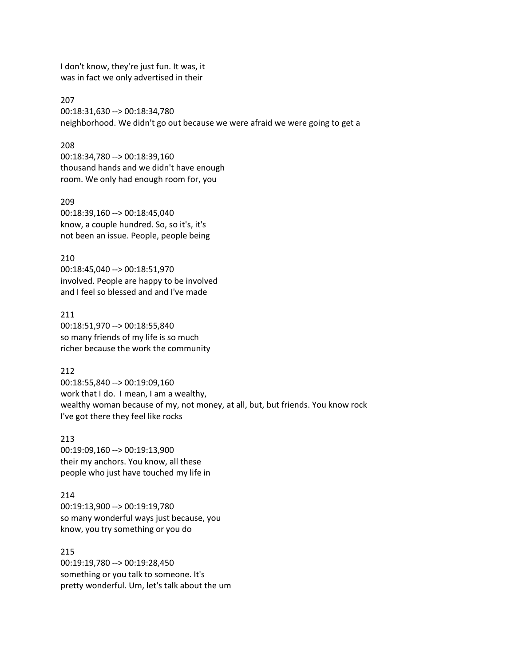I don't know, they're just fun. It was, it was in fact we only advertised in their

207 00:18:31,630 --> 00:18:34,780 neighborhood. We didn't go out because we were afraid we were going to get a

### 208

00:18:34,780 --> 00:18:39,160 thousand hands and we didn't have enough room. We only had enough room for, you

209 00:18:39,160 --> 00:18:45,040 know, a couple hundred. So, so it's, it's not been an issue. People, people being

210 00:18:45,040 --> 00:18:51,970 involved. People are happy to be involved and I feel so blessed and and I've made

211 00:18:51,970 --> 00:18:55,840 so many friends of my life is so much richer because the work the community

212 00:18:55,840 --> 00:19:09,160 work that I do. I mean, I am a wealthy, wealthy woman because of my, not money, at all, but, but friends. You know rock I've got there they feel like rocks

213 00:19:09,160 --> 00:19:13,900 their my anchors. You know, all these people who just have touched my life in

214 00:19:13,900 --> 00:19:19,780 so many wonderful ways just because, you know, you try something or you do

215 00:19:19,780 --> 00:19:28,450 something or you talk to someone. It's pretty wonderful. Um, let's talk about the um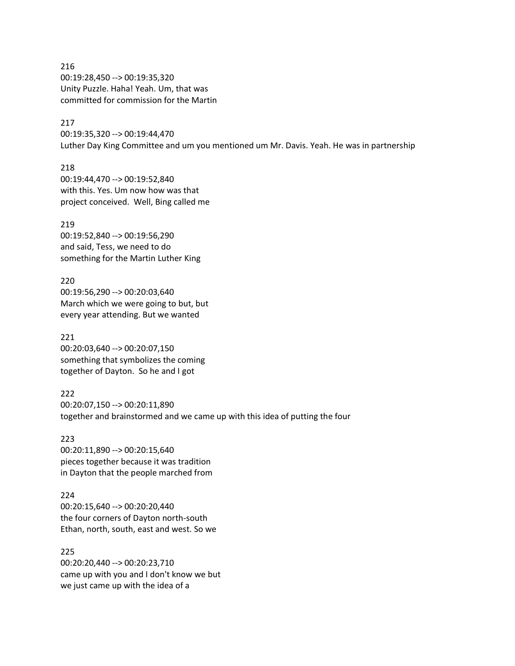216 00:19:28,450 --> 00:19:35,320 Unity Puzzle. Haha! Yeah. Um, that was committed for commission for the Martin

# 217

00:19:35,320 --> 00:19:44,470 Luther Day King Committee and um you mentioned um Mr. Davis. Yeah. He was in partnership

218 00:19:44,470 --> 00:19:52,840 with this. Yes. Um now how was that project conceived. Well, Bing called me

219 00:19:52,840 --> 00:19:56,290 and said, Tess, we need to do something for the Martin Luther King

220 00:19:56,290 --> 00:20:03,640 March which we were going to but, but every year attending. But we wanted

221 00:20:03,640 --> 00:20:07,150 something that symbolizes the coming together of Dayton. So he and I got

222 00:20:07,150 --> 00:20:11,890 together and brainstormed and we came up with this idea of putting the four

223 00:20:11,890 --> 00:20:15,640 pieces together because it was tradition in Dayton that the people marched from

224 00:20:15,640 --> 00:20:20,440 the four corners of Dayton north-south Ethan, north, south, east and west. So we

225 00:20:20,440 --> 00:20:23,710 came up with you and I don't know we but we just came up with the idea of a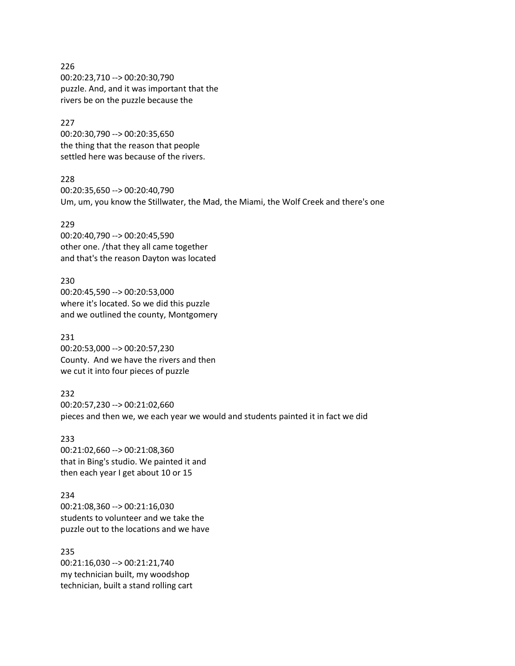226 00:20:23,710 --> 00:20:30,790 puzzle. And, and it was important that the rivers be on the puzzle because the

### 227

00:20:30,790 --> 00:20:35,650 the thing that the reason that people settled here was because of the rivers.

### 228

00:20:35,650 --> 00:20:40,790 Um, um, you know the Stillwater, the Mad, the Miami, the Wolf Creek and there's one

### 229

00:20:40,790 --> 00:20:45,590 other one. /that they all came together and that's the reason Dayton was located

230 00:20:45,590 --> 00:20:53,000 where it's located. So we did this puzzle and we outlined the county, Montgomery

231 00:20:53,000 --> 00:20:57,230 County. And we have the rivers and then we cut it into four pieces of puzzle

232 00:20:57,230 --> 00:21:02,660 pieces and then we, we each year we would and students painted it in fact we did

233 00:21:02,660 --> 00:21:08,360 that in Bing's studio. We painted it and then each year I get about 10 or 15

234 00:21:08,360 --> 00:21:16,030 students to volunteer and we take the puzzle out to the locations and we have

235 00:21:16,030 --> 00:21:21,740 my technician built, my woodshop technician, built a stand rolling cart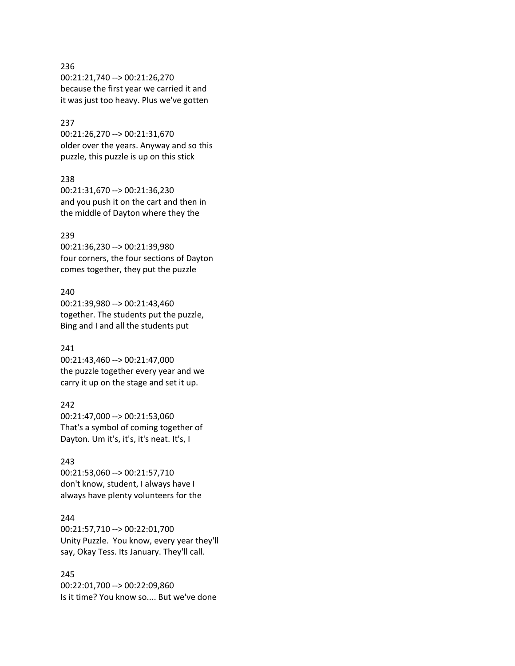# 236 00:21:21,740 --> 00:21:26,270 because the first year we carried it and it was just too heavy. Plus we've gotten

### 237

00:21:26,270 --> 00:21:31,670 older over the years. Anyway and so this puzzle, this puzzle is up on this stick

### 238

00:21:31,670 --> 00:21:36,230 and you push it on the cart and then in the middle of Dayton where they the

### 239

00:21:36,230 --> 00:21:39,980 four corners, the four sections of Dayton comes together, they put the puzzle

# 240

00:21:39,980 --> 00:21:43,460 together. The students put the puzzle, Bing and I and all the students put

# 241

00:21:43,460 --> 00:21:47,000 the puzzle together every year and we carry it up on the stage and set it up.

# 242

00:21:47,000 --> 00:21:53,060 That's a symbol of coming together of Dayton. Um it's, it's, it's neat. It's, I

### 243

00:21:53,060 --> 00:21:57,710 don't know, student, I always have I always have plenty volunteers for the

# 244

00:21:57,710 --> 00:22:01,700 Unity Puzzle. You know, every year they'll say, Okay Tess. Its January. They'll call.

# 245

00:22:01,700 --> 00:22:09,860 Is it time? You know so.... But we've done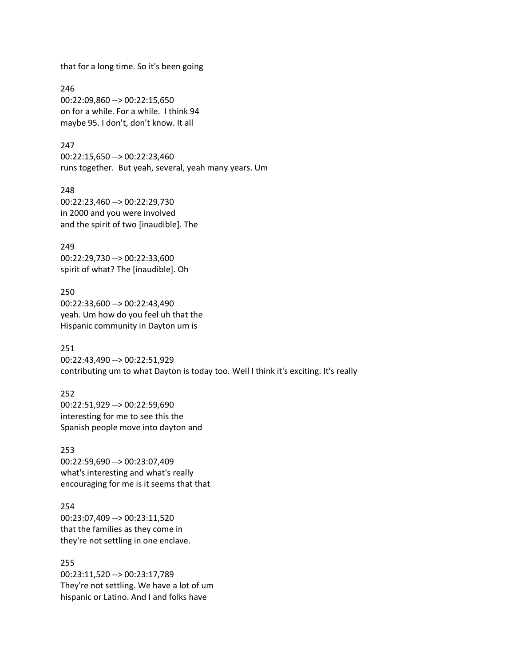that for a long time. So it's been going

246 00:22:09,860 --> 00:22:15,650 on for a while. For a while. I think 94 maybe 95. I don't, don't know. It all

247 00:22:15,650 --> 00:22:23,460 runs together. But yeah, several, yeah many years. Um

248 00:22:23,460 --> 00:22:29,730 in 2000 and you were involved and the spirit of two [inaudible]. The

249 00:22:29,730 --> 00:22:33,600 spirit of what? The [inaudible]. Oh

250 00:22:33,600 --> 00:22:43,490 yeah. Um how do you feel uh that the Hispanic community in Dayton um is

251 00:22:43,490 --> 00:22:51,929 contributing um to what Dayton is today too. Well I think it's exciting. It's really

252 00:22:51,929 --> 00:22:59,690 interesting for me to see this the Spanish people move into dayton and

253 00:22:59,690 --> 00:23:07,409 what's interesting and what's really encouraging for me is it seems that that

254 00:23:07,409 --> 00:23:11,520 that the families as they come in they're not settling in one enclave.

255 00:23:11,520 --> 00:23:17,789 They're not settling. We have a lot of um hispanic or Latino. And I and folks have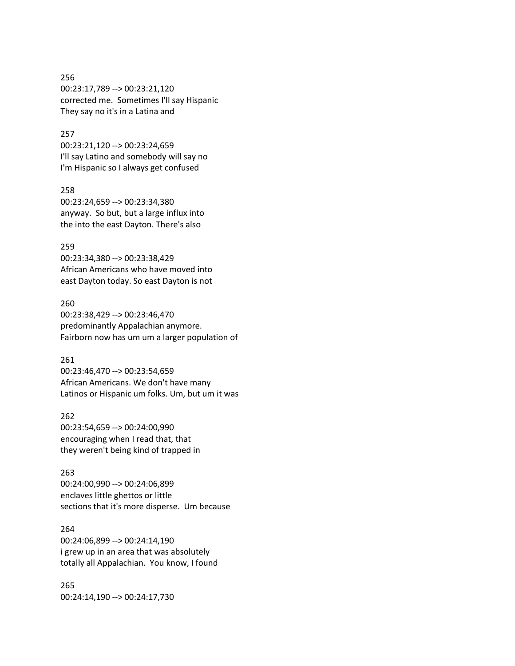# 256 00:23:17,789 --> 00:23:21,120 corrected me. Sometimes I'll say Hispanic They say no it's in a Latina and

# 257

00:23:21,120 --> 00:23:24,659 I'll say Latino and somebody will say no I'm Hispanic so I always get confused

# 258

00:23:24,659 --> 00:23:34,380 anyway. So but, but a large influx into the into the east Dayton. There's also

### 259

00:23:34,380 --> 00:23:38,429 African Americans who have moved into east Dayton today. So east Dayton is not

# 260

00:23:38,429 --> 00:23:46,470 predominantly Appalachian anymore. Fairborn now has um um a larger population of

# 261

00:23:46,470 --> 00:23:54,659 African Americans. We don't have many Latinos or Hispanic um folks. Um, but um it was

# 262

00:23:54,659 --> 00:24:00,990 encouraging when I read that, that they weren't being kind of trapped in

#### 263

00:24:00,990 --> 00:24:06,899 enclaves little ghettos or little sections that it's more disperse. Um because

# 264

00:24:06,899 --> 00:24:14,190 i grew up in an area that was absolutely totally all Appalachian. You know, I found

265 00:24:14,190 --> 00:24:17,730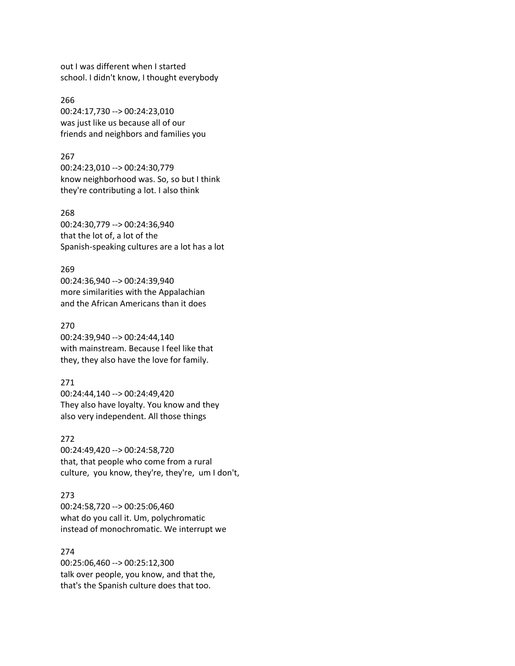out I was different when I started school. I didn't know, I thought everybody

266 00:24:17,730 --> 00:24:23,010 was just like us because all of our friends and neighbors and families you

### 267

00:24:23,010 --> 00:24:30,779 know neighborhood was. So, so but I think they're contributing a lot. I also think

268

00:24:30,779 --> 00:24:36,940 that the lot of, a lot of the Spanish-speaking cultures are a lot has a lot

### 269

00:24:36,940 --> 00:24:39,940 more similarities with the Appalachian and the African Americans than it does

### 270

00:24:39,940 --> 00:24:44,140 with mainstream. Because I feel like that they, they also have the love for family.

#### 271

00:24:44,140 --> 00:24:49,420 They also have loyalty. You know and they also very independent. All those things

### 272

00:24:49,420 --> 00:24:58,720 that, that people who come from a rural culture, you know, they're, they're, um I don't,

### 273

00:24:58,720 --> 00:25:06,460 what do you call it. Um, polychromatic instead of monochromatic. We interrupt we

### 274

00:25:06,460 --> 00:25:12,300 talk over people, you know, and that the, that's the Spanish culture does that too.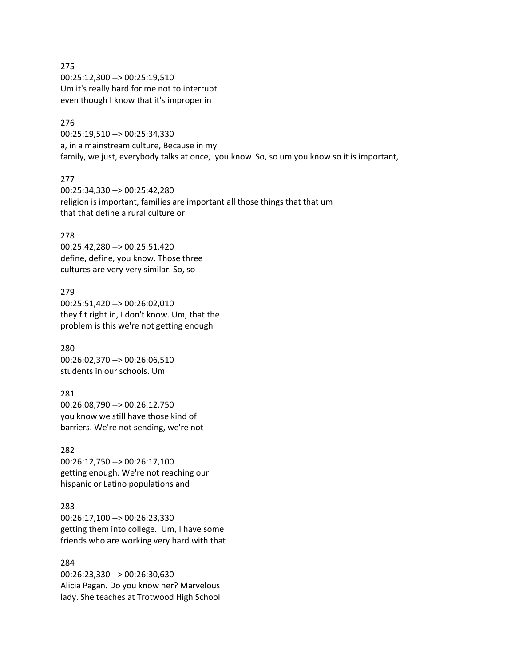275 00:25:12,300 --> 00:25:19,510 Um it's really hard for me not to interrupt even though I know that it's improper in

# 276

00:25:19,510 --> 00:25:34,330 a, in a mainstream culture, Because in my family, we just, everybody talks at once, you know So, so um you know so it is important,

### 277

00:25:34,330 --> 00:25:42,280 religion is important, families are important all those things that that um that that define a rural culture or

### 278

00:25:42,280 --> 00:25:51,420 define, define, you know. Those three cultures are very very similar. So, so

# 279 00:25:51,420 --> 00:26:02,010 they fit right in, I don't know. Um, that the problem is this we're not getting enough

280 00:26:02,370 --> 00:26:06,510 students in our schools. Um

# 281 00:26:08,790 --> 00:26:12,750 you know we still have those kind of barriers. We're not sending, we're not

# 282 00:26:12,750 --> 00:26:17,100 getting enough. We're not reaching our hispanic or Latino populations and

### 283

00:26:17,100 --> 00:26:23,330 getting them into college. Um, I have some friends who are working very hard with that

### 284

00:26:23,330 --> 00:26:30,630 Alicia Pagan. Do you know her? Marvelous lady. She teaches at Trotwood High School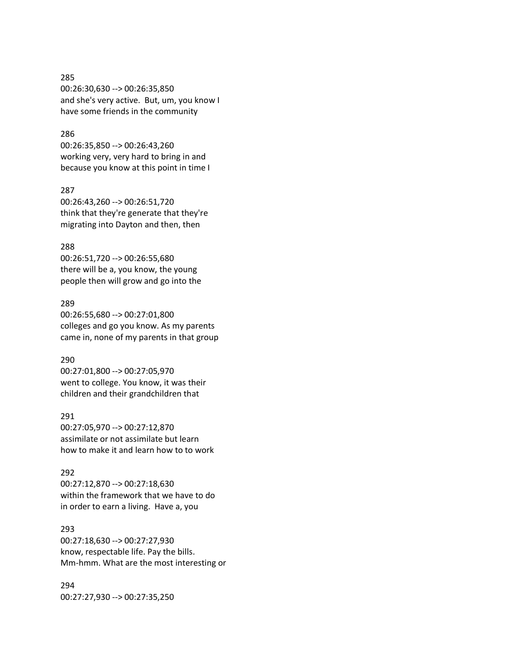# 285 00:26:30,630 --> 00:26:35,850 and she's very active. But, um, you know I have some friends in the community

# 286

00:26:35,850 --> 00:26:43,260 working very, very hard to bring in and because you know at this point in time I

# 287

00:26:43,260 --> 00:26:51,720 think that they're generate that they're migrating into Dayton and then, then

### 288

00:26:51,720 --> 00:26:55,680 there will be a, you know, the young people then will grow and go into the

### 289

00:26:55,680 --> 00:27:01,800 colleges and go you know. As my parents came in, none of my parents in that group

### 290

00:27:01,800 --> 00:27:05,970 went to college. You know, it was their children and their grandchildren that

# 291

00:27:05,970 --> 00:27:12,870 assimilate or not assimilate but learn how to make it and learn how to to work

### 292

00:27:12,870 --> 00:27:18,630 within the framework that we have to do in order to earn a living. Have a, you

# 293

00:27:18,630 --> 00:27:27,930 know, respectable life. Pay the bills. Mm-hmm. What are the most interesting or

# 294 00:27:27,930 --> 00:27:35,250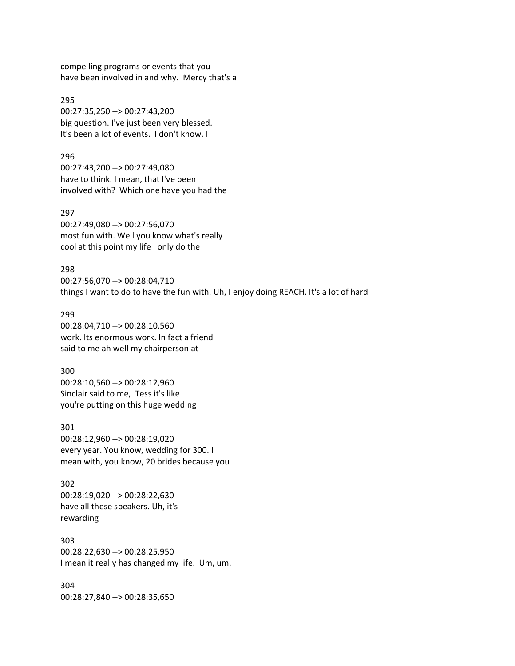compelling programs or events that you have been involved in and why. Mercy that's a

295 00:27:35,250 --> 00:27:43,200 big question. I've just been very blessed. It's been a lot of events. I don't know. I

296 00:27:43,200 --> 00:27:49,080 have to think. I mean, that I've been involved with? Which one have you had the

297 00:27:49,080 --> 00:27:56,070 most fun with. Well you know what's really cool at this point my life I only do the

298 00:27:56,070 --> 00:28:04,710 things I want to do to have the fun with. Uh, I enjoy doing REACH. It's a lot of hard

299 00:28:04,710 --> 00:28:10,560 work. Its enormous work. In fact a friend said to me ah well my chairperson at

300 00:28:10,560 --> 00:28:12,960 Sinclair said to me, Tess it's like you're putting on this huge wedding

301 00:28:12,960 --> 00:28:19,020 every year. You know, wedding for 300. I mean with, you know, 20 brides because you

302 00:28:19,020 --> 00:28:22,630 have all these speakers. Uh, it's rewarding

303 00:28:22,630 --> 00:28:25,950 I mean it really has changed my life. Um, um.

304 00:28:27,840 --> 00:28:35,650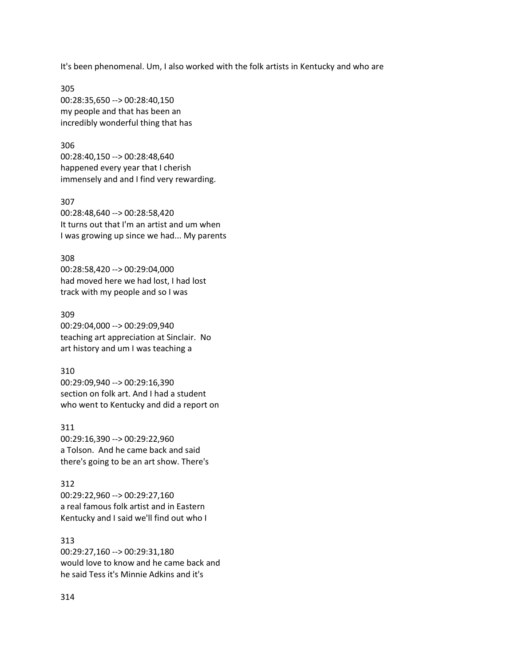It's been phenomenal. Um, I also worked with the folk artists in Kentucky and who are

305 00:28:35,650 --> 00:28:40,150 my people and that has been an incredibly wonderful thing that has

306

00:28:40,150 --> 00:28:48,640 happened every year that I cherish immensely and and I find very rewarding.

307 00:28:48,640 --> 00:28:58,420 It turns out that I'm an artist and um when I was growing up since we had... My parents

308 00:28:58,420 --> 00:29:04,000 had moved here we had lost, I had lost track with my people and so I was

309 00:29:04,000 --> 00:29:09,940 teaching art appreciation at Sinclair. No art history and um I was teaching a

310 00:29:09,940 --> 00:29:16,390 section on folk art. And I had a student who went to Kentucky and did a report on

311 00:29:16,390 --> 00:29:22,960 a Tolson. And he came back and said there's going to be an art show. There's

312 00:29:22,960 --> 00:29:27,160 a real famous folk artist and in Eastern Kentucky and I said we'll find out who I

313 00:29:27,160 --> 00:29:31,180 would love to know and he came back and he said Tess it's Minnie Adkins and it's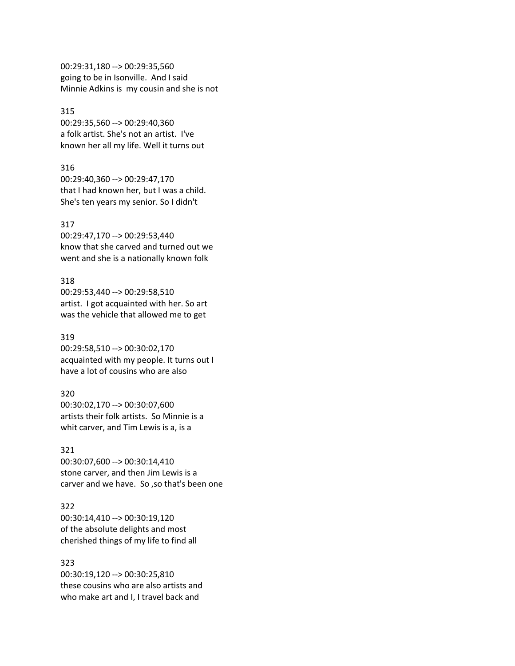00:29:31,180 --> 00:29:35,560 going to be in Isonville. And I said Minnie Adkins is my cousin and she is not

### 315

00:29:35,560 --> 00:29:40,360 a folk artist. She's not an artist. I've known her all my life. Well it turns out

### 316

00:29:40,360 --> 00:29:47,170 that I had known her, but I was a child. She's ten years my senior. So I didn't

### 317

00:29:47,170 --> 00:29:53,440 know that she carved and turned out we went and she is a nationally known folk

### 318

00:29:53,440 --> 00:29:58,510 artist. I got acquainted with her. So art was the vehicle that allowed me to get

# 319

00:29:58,510 --> 00:30:02,170 acquainted with my people. It turns out I have a lot of cousins who are also

### 320

00:30:02,170 --> 00:30:07,600 artists their folk artists. So Minnie is a whit carver, and Tim Lewis is a, is a

### 321

00:30:07,600 --> 00:30:14,410 stone carver, and then Jim Lewis is a carver and we have. So ,so that's been one

# 322

00:30:14,410 --> 00:30:19,120 of the absolute delights and most cherished things of my life to find all

### 323

00:30:19,120 --> 00:30:25,810 these cousins who are also artists and who make art and I, I travel back and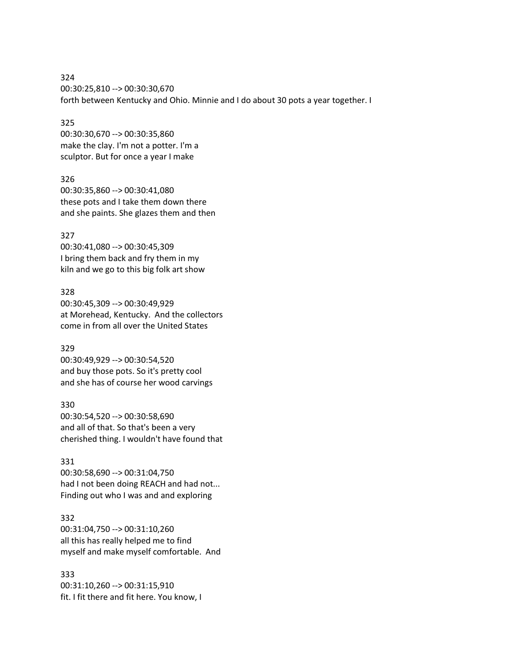324 00:30:25,810 --> 00:30:30,670 forth between Kentucky and Ohio. Minnie and I do about 30 pots a year together. I

# 325

00:30:30,670 --> 00:30:35,860 make the clay. I'm not a potter. I'm a sculptor. But for once a year I make

### 326

00:30:35,860 --> 00:30:41,080 these pots and I take them down there and she paints. She glazes them and then

# 327

00:30:41,080 --> 00:30:45,309 I bring them back and fry them in my kiln and we go to this big folk art show

# 328

00:30:45,309 --> 00:30:49,929 at Morehead, Kentucky. And the collectors come in from all over the United States

# 329

00:30:49,929 --> 00:30:54,520 and buy those pots. So it's pretty cool and she has of course her wood carvings

# 330

00:30:54,520 --> 00:30:58,690 and all of that. So that's been a very cherished thing. I wouldn't have found that

# 331

00:30:58,690 --> 00:31:04,750 had I not been doing REACH and had not... Finding out who I was and and exploring

# 332

00:31:04,750 --> 00:31:10,260 all this has really helped me to find myself and make myself comfortable. And

# 333

00:31:10,260 --> 00:31:15,910 fit. I fit there and fit here. You know, I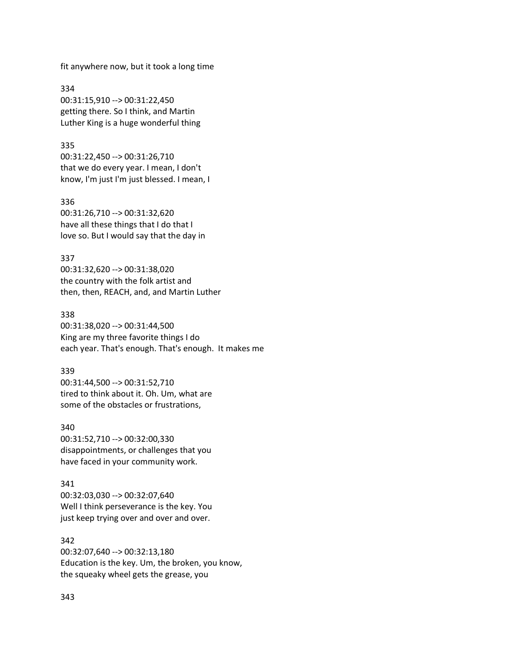fit anywhere now, but it took a long time

334 00:31:15,910 --> 00:31:22,450 getting there. So I think, and Martin Luther King is a huge wonderful thing

335

00:31:22,450 --> 00:31:26,710 that we do every year. I mean, I don't know, I'm just I'm just blessed. I mean, I

336 00:31:26,710 --> 00:31:32,620 have all these things that I do that I love so. But I would say that the day in

then, then, REACH, and, and Martin Luther

337 00:31:32,620 --> 00:31:38,020 the country with the folk artist and

338

00:31:38,020 --> 00:31:44,500 King are my three favorite things I do each year. That's enough. That's enough. It makes me

339

00:31:44,500 --> 00:31:52,710 tired to think about it. Oh. Um, what are some of the obstacles or frustrations,

340 00:31:52,710 --> 00:32:00,330 disappointments, or challenges that you have faced in your community work.

just keep trying over and over and over.

341 00:32:03,030 --> 00:32:07,640 Well I think perseverance is the key. You

342 00:32:07,640 --> 00:32:13,180 Education is the key. Um, the broken, you know, the squeaky wheel gets the grease, you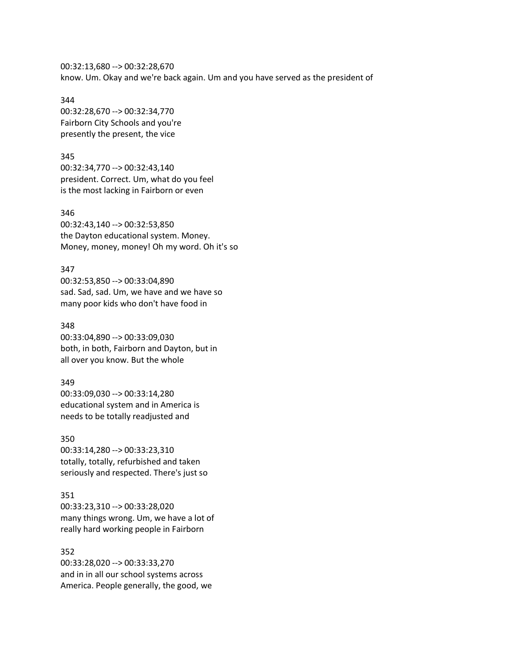00:32:13,680 --> 00:32:28,670 know. Um. Okay and we're back again. Um and you have served as the president of

344

00:32:28,670 --> 00:32:34,770 Fairborn City Schools and you're presently the present, the vice

345

00:32:34,770 --> 00:32:43,140 president. Correct. Um, what do you feel is the most lacking in Fairborn or even

346

00:32:43,140 --> 00:32:53,850 the Dayton educational system. Money. Money, money, money! Oh my word. Oh it's so

347

00:32:53,850 --> 00:33:04,890 sad. Sad, sad. Um, we have and we have so many poor kids who don't have food in

348 00:33:04,890 --> 00:33:09,030 both, in both, Fairborn and Dayton, but in all over you know. But the whole

349 00:33:09,030 --> 00:33:14,280 educational system and in America is needs to be totally readjusted and

350 00:33:14,280 --> 00:33:23,310 totally, totally, refurbished and taken seriously and respected. There's just so

351

00:33:23,310 --> 00:33:28,020 many things wrong. Um, we have a lot of really hard working people in Fairborn

352 00:33:28,020 --> 00:33:33,270 and in in all our school systems across America. People generally, the good, we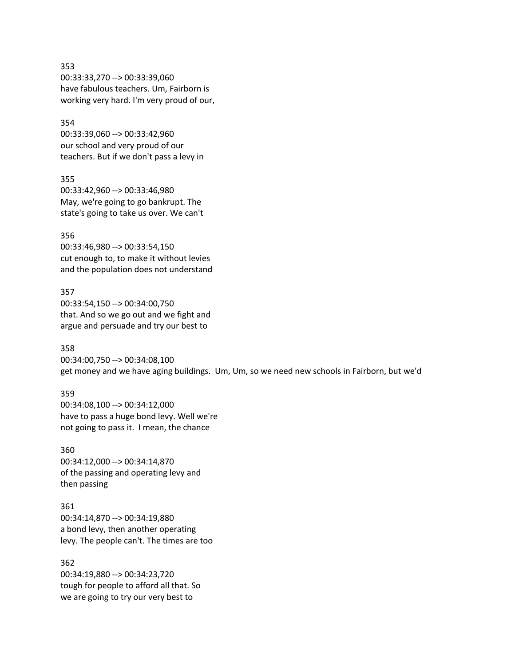353 00:33:33,270 --> 00:33:39,060 have fabulous teachers. Um, Fairborn is working very hard. I'm very proud of our,

354 00:33:39,060 --> 00:33:42,960 our school and very proud of our teachers. But if we don't pass a levy in

355 00:33:42,960 --> 00:33:46,980 May, we're going to go bankrupt. The state's going to take us over. We can't

356 00:33:46,980 --> 00:33:54,150 cut enough to, to make it without levies and the population does not understand

357 00:33:54,150 --> 00:34:00,750 that. And so we go out and we fight and argue and persuade and try our best to

358 00:34:00,750 --> 00:34:08,100 get money and we have aging buildings. Um, Um, so we need new schools in Fairborn, but we'd

359 00:34:08,100 --> 00:34:12,000 have to pass a huge bond levy. Well we're not going to pass it. I mean, the chance

360 00:34:12,000 --> 00:34:14,870 of the passing and operating levy and then passing

361 00:34:14,870 --> 00:34:19,880 a bond levy, then another operating levy. The people can't. The times are too

362 00:34:19,880 --> 00:34:23,720 tough for people to afford all that. So we are going to try our very best to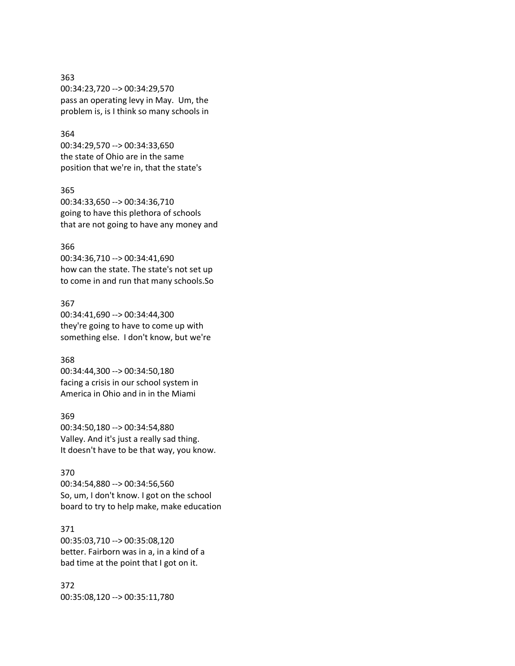### 363

00:34:23,720 --> 00:34:29,570 pass an operating levy in May. Um, the problem is, is I think so many schools in

### 364

00:34:29,570 --> 00:34:33,650 the state of Ohio are in the same position that we're in, that the state's

### 365

00:34:33,650 --> 00:34:36,710 going to have this plethora of schools that are not going to have any money and

### 366

00:34:36,710 --> 00:34:41,690 how can the state. The state's not set up to come in and run that many schools.So

### 367

00:34:41,690 --> 00:34:44,300 they're going to have to come up with something else. I don't know, but we're

### 368

00:34:44,300 --> 00:34:50,180 facing a crisis in our school system in America in Ohio and in in the Miami

# 369

00:34:50,180 --> 00:34:54,880 Valley. And it's just a really sad thing. It doesn't have to be that way, you know.

### 370

00:34:54,880 --> 00:34:56,560 So, um, I don't know. I got on the school board to try to help make, make education

# 371

00:35:03,710 --> 00:35:08,120 better. Fairborn was in a, in a kind of a bad time at the point that I got on it.

# 372 00:35:08,120 --> 00:35:11,780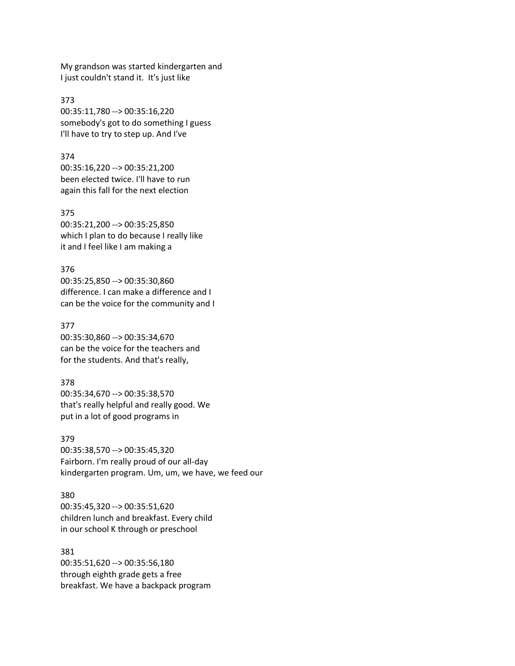My grandson was started kindergarten and I just couldn't stand it. It's just like

373 00:35:11,780 --> 00:35:16,220 somebody's got to do something I guess I'll have to try to step up. And I've

374 00:35:16,220 --> 00:35:21,200 been elected twice. I'll have to run again this fall for the next election

375 00:35:21,200 --> 00:35:25,850 which I plan to do because I really like it and I feel like I am making a

376 00:35:25,850 --> 00:35:30,860 difference. I can make a difference and I can be the voice for the community and I

377 00:35:30,860 --> 00:35:34,670 can be the voice for the teachers and for the students. And that's really,

378 00:35:34,670 --> 00:35:38,570 that's really helpful and really good. We put in a lot of good programs in

379 00:35:38,570 --> 00:35:45,320 Fairborn. I'm really proud of our all-day kindergarten program. Um, um, we have, we feed our

380 00:35:45,320 --> 00:35:51,620 children lunch and breakfast. Every child in our school K through or preschool

381 00:35:51,620 --> 00:35:56,180 through eighth grade gets a free breakfast. We have a backpack program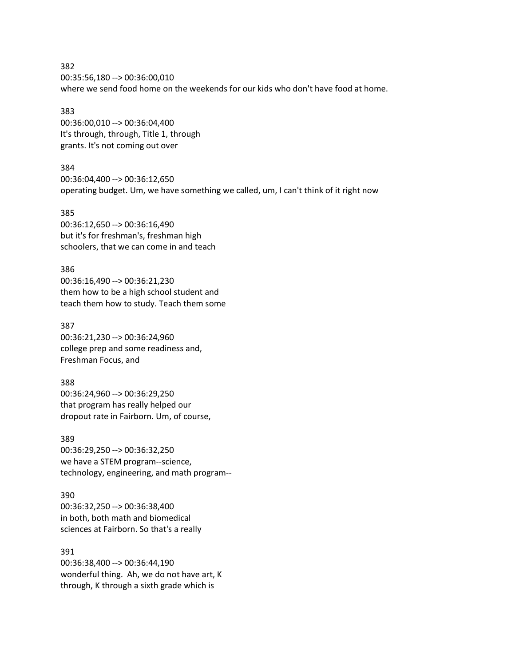382 00:35:56,180 --> 00:36:00,010 where we send food home on the weekends for our kids who don't have food at home.

383 00:36:00,010 --> 00:36:04,400 It's through, through, Title 1, through grants. It's not coming out over

384 00:36:04,400 --> 00:36:12,650 operating budget. Um, we have something we called, um, I can't think of it right now

385 00:36:12,650 --> 00:36:16,490 but it's for freshman's, freshman high schoolers, that we can come in and teach

386 00:36:16,490 --> 00:36:21,230 them how to be a high school student and teach them how to study. Teach them some

387 00:36:21,230 --> 00:36:24,960 college prep and some readiness and, Freshman Focus, and

388 00:36:24,960 --> 00:36:29,250 that program has really helped our dropout rate in Fairborn. Um, of course,

389 00:36:29,250 --> 00:36:32,250 we have a STEM program--science, technology, engineering, and math program--

390 00:36:32,250 --> 00:36:38,400 in both, both math and biomedical sciences at Fairborn. So that's a really

391 00:36:38,400 --> 00:36:44,190 wonderful thing. Ah, we do not have art, K through, K through a sixth grade which is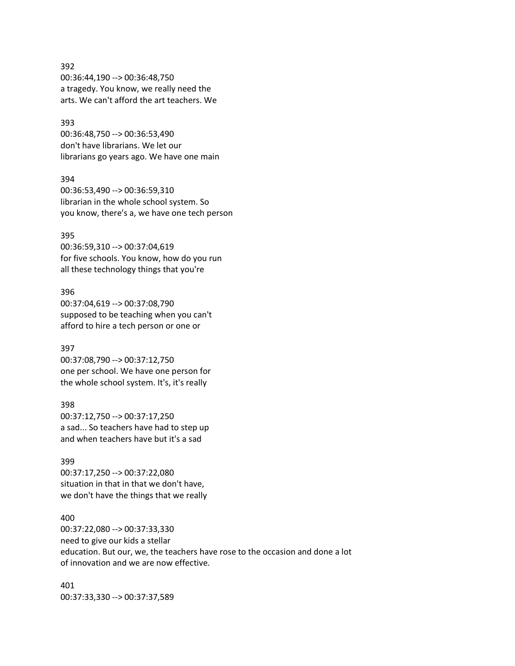# 392 00:36:44,190 --> 00:36:48,750 a tragedy. You know, we really need the arts. We can't afford the art teachers. We

### 393

00:36:48,750 --> 00:36:53,490 don't have librarians. We let our librarians go years ago. We have one main

### 394

00:36:53,490 --> 00:36:59,310 librarian in the whole school system. So you know, there's a, we have one tech person

### 395

00:36:59,310 --> 00:37:04,619 for five schools. You know, how do you run all these technology things that you're

# 396

00:37:04,619 --> 00:37:08,790 supposed to be teaching when you can't afford to hire a tech person or one or

# 397

00:37:08,790 --> 00:37:12,750 one per school. We have one person for the whole school system. It's, it's really

# 398

00:37:12,750 --> 00:37:17,250 a sad... So teachers have had to step up and when teachers have but it's a sad

### 399

00:37:17,250 --> 00:37:22,080 situation in that in that we don't have, we don't have the things that we really

# 400

00:37:22,080 --> 00:37:33,330 need to give our kids a stellar education. But our, we, the teachers have rose to the occasion and done a lot of innovation and we are now effective.

401 00:37:33,330 --> 00:37:37,589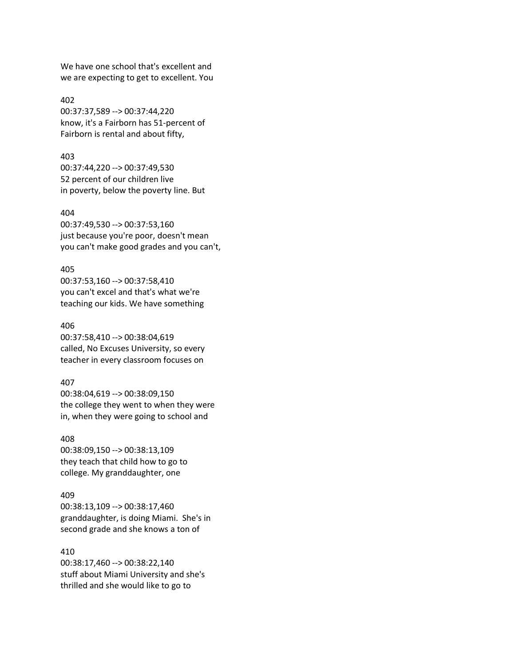We have one school that's excellent and we are expecting to get to excellent. You

402 00:37:37,589 --> 00:37:44,220 know, it's a Fairborn has 51-percent of Fairborn is rental and about fifty,

403 00:37:44,220 --> 00:37:49,530 52 percent of our children live in poverty, below the poverty line. But

404

00:37:49,530 --> 00:37:53,160 just because you're poor, doesn't mean you can't make good grades and you can't,

#### 405

00:37:53,160 --> 00:37:58,410 you can't excel and that's what we're teaching our kids. We have something

406 00:37:58,410 --> 00:38:04,619 called, No Excuses University, so every teacher in every classroom focuses on

#### 407

00:38:04,619 --> 00:38:09,150 the college they went to when they were in, when they were going to school and

408

00:38:09,150 --> 00:38:13,109 they teach that child how to go to college. My granddaughter, one

### 409

00:38:13,109 --> 00:38:17,460 granddaughter, is doing Miami. She's in second grade and she knows a ton of

#### 410

00:38:17,460 --> 00:38:22,140 stuff about Miami University and she's thrilled and she would like to go to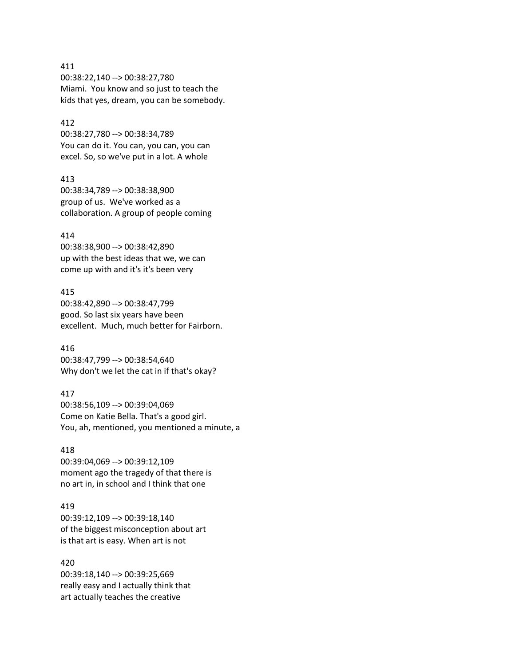# 411 00:38:22,140 --> 00:38:27,780 Miami. You know and so just to teach the kids that yes, dream, you can be somebody.

### 412

00:38:27,780 --> 00:38:34,789 You can do it. You can, you can, you can excel. So, so we've put in a lot. A whole

### 413

00:38:34,789 --> 00:38:38,900 group of us. We've worked as a collaboration. A group of people coming

# 414

00:38:38,900 --> 00:38:42,890 up with the best ideas that we, we can come up with and it's it's been very

# 415

00:38:42,890 --> 00:38:47,799 good. So last six years have been excellent. Much, much better for Fairborn.

# 416

00:38:47,799 --> 00:38:54,640 Why don't we let the cat in if that's okay?

# 417

00:38:56,109 --> 00:39:04,069 Come on Katie Bella. That's a good girl. You, ah, mentioned, you mentioned a minute, a

### 418

00:39:04,069 --> 00:39:12,109 moment ago the tragedy of that there is no art in, in school and I think that one

# 419

00:39:12,109 --> 00:39:18,140 of the biggest misconception about art is that art is easy. When art is not

# 420

00:39:18,140 --> 00:39:25,669 really easy and I actually think that art actually teaches the creative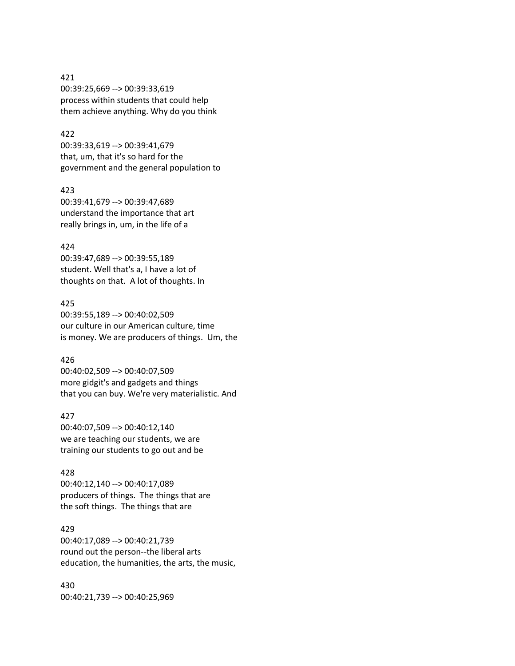# 421 00:39:25,669 --> 00:39:33,619 process within students that could help them achieve anything. Why do you think

# 422

00:39:33,619 --> 00:39:41,679 that, um, that it's so hard for the government and the general population to

### 423

00:39:41,679 --> 00:39:47,689 understand the importance that art really brings in, um, in the life of a

### 424

00:39:47,689 --> 00:39:55,189 student. Well that's a, I have a lot of thoughts on that. A lot of thoughts. In

### 425

00:39:55,189 --> 00:40:02,509 our culture in our American culture, time is money. We are producers of things. Um, the

# 426

00:40:02,509 --> 00:40:07,509 more gidgit's and gadgets and things that you can buy. We're very materialistic. And

# 427

00:40:07,509 --> 00:40:12,140 we are teaching our students, we are training our students to go out and be

### 428

00:40:12,140 --> 00:40:17,089 producers of things. The things that are the soft things. The things that are

### 429

00:40:17,089 --> 00:40:21,739 round out the person--the liberal arts education, the humanities, the arts, the music,

430 00:40:21,739 --> 00:40:25,969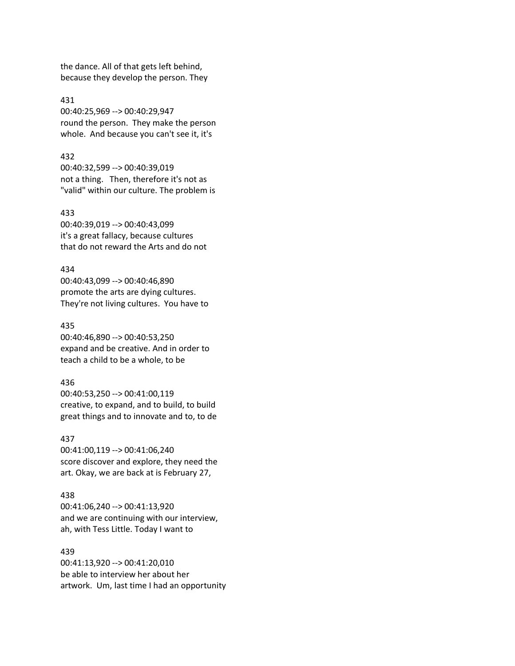the dance. All of that gets left behind, because they develop the person. They

431 00:40:25,969 --> 00:40:29,947 round the person. They make the person whole. And because you can't see it, it's

#### 432

00:40:32,599 --> 00:40:39,019 not a thing. Then, therefore it's not as "valid" within our culture. The problem is

### 433

00:40:39,019 --> 00:40:43,099 it's a great fallacy, because cultures that do not reward the Arts and do not

#### 434

00:40:43,099 --> 00:40:46,890 promote the arts are dying cultures. They're not living cultures. You have to

#### 435

00:40:46,890 --> 00:40:53,250 expand and be creative. And in order to teach a child to be a whole, to be

### 436

00:40:53,250 --> 00:41:00,119 creative, to expand, and to build, to build great things and to innovate and to, to de

#### 437

00:41:00,119 --> 00:41:06,240 score discover and explore, they need the art. Okay, we are back at is February 27,

### 438

00:41:06,240 --> 00:41:13,920 and we are continuing with our interview, ah, with Tess Little. Today I want to

# 439

00:41:13,920 --> 00:41:20,010 be able to interview her about her artwork. Um, last time I had an opportunity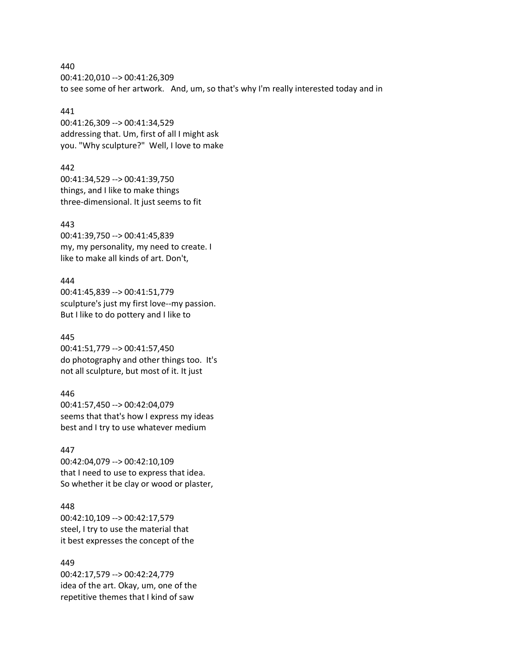440 00:41:20,010 --> 00:41:26,309 to see some of her artwork. And, um, so that's why I'm really interested today and in

### 441

00:41:26,309 --> 00:41:34,529 addressing that. Um, first of all I might ask you. "Why sculpture?" Well, I love to make

442 00:41:34,529 --> 00:41:39,750 things, and I like to make things three-dimensional. It just seems to fit

# 443

00:41:39,750 --> 00:41:45,839 my, my personality, my need to create. I like to make all kinds of art. Don't,

### 444

00:41:45,839 --> 00:41:51,779 sculpture's just my first love--my passion. But I like to do pottery and I like to

# 445

00:41:51,779 --> 00:41:57,450 do photography and other things too. It's not all sculpture, but most of it. It just

### 446

00:41:57,450 --> 00:42:04,079 seems that that's how I express my ideas best and I try to use whatever medium

### 447

00:42:04,079 --> 00:42:10,109 that I need to use to express that idea. So whether it be clay or wood or plaster,

# 448

00:42:10,109 --> 00:42:17,579 steel, I try to use the material that it best expresses the concept of the

### 449

00:42:17,579 --> 00:42:24,779 idea of the art. Okay, um, one of the repetitive themes that I kind of saw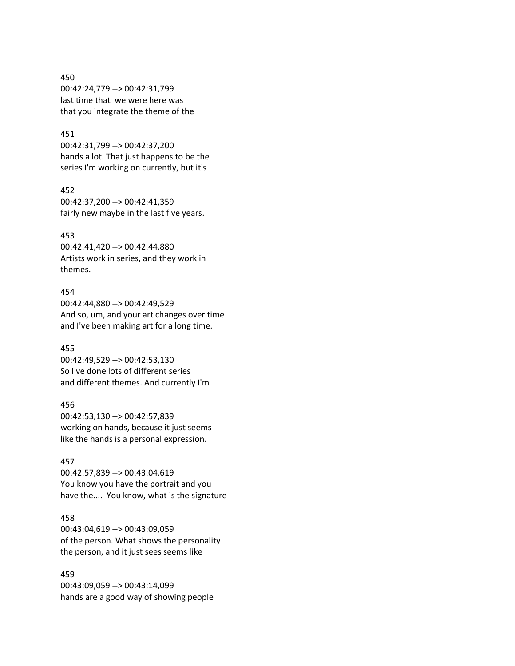450 00:42:24,779 --> 00:42:31,799 last time that we were here was that you integrate the theme of the

# 451

00:42:31,799 --> 00:42:37,200 hands a lot. That just happens to be the series I'm working on currently, but it's

452 00:42:37,200 --> 00:42:41,359 fairly new maybe in the last five years.

#### 453

00:42:41,420 --> 00:42:44,880 Artists work in series, and they work in themes.

# 454

00:42:44,880 --> 00:42:49,529 And so, um, and your art changes over time and I've been making art for a long time.

#### 455

00:42:49,529 --> 00:42:53,130 So I've done lots of different series and different themes. And currently I'm

### 456

00:42:53,130 --> 00:42:57,839 working on hands, because it just seems like the hands is a personal expression.

#### 457

00:42:57,839 --> 00:43:04,619 You know you have the portrait and you have the.... You know, what is the signature

# 458

00:43:04,619 --> 00:43:09,059 of the person. What shows the personality the person, and it just sees seems like

# 459

00:43:09,059 --> 00:43:14,099 hands are a good way of showing people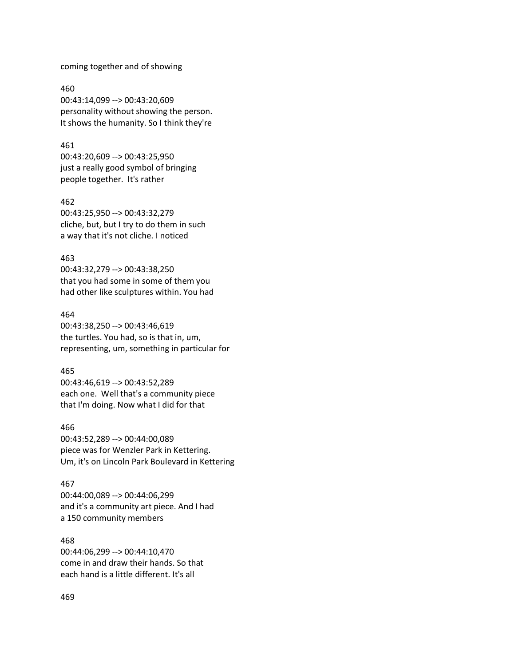coming together and of showing

460 00:43:14,099 --> 00:43:20,609 personality without showing the person. It shows the humanity. So I think they're

### 461

00:43:20,609 --> 00:43:25,950 just a really good symbol of bringing people together. It's rather

#### 462

00:43:25,950 --> 00:43:32,279 cliche, but, but I try to do them in such a way that it's not cliche. I noticed

### 463

00:43:32,279 --> 00:43:38,250 that you had some in some of them you had other like sculptures within. You had

### 464

00:43:38,250 --> 00:43:46,619 the turtles. You had, so is that in, um, representing, um, something in particular for

### 465

00:43:46,619 --> 00:43:52,289 each one. Well that's a community piece that I'm doing. Now what I did for that

### 466

00:43:52,289 --> 00:44:00,089 piece was for Wenzler Park in Kettering. Um, it's on Lincoln Park Boulevard in Kettering

#### 467

00:44:00,089 --> 00:44:06,299 and it's a community art piece. And I had a 150 community members

# 468

00:44:06,299 --> 00:44:10,470 come in and draw their hands. So that each hand is a little different. It's all

### 469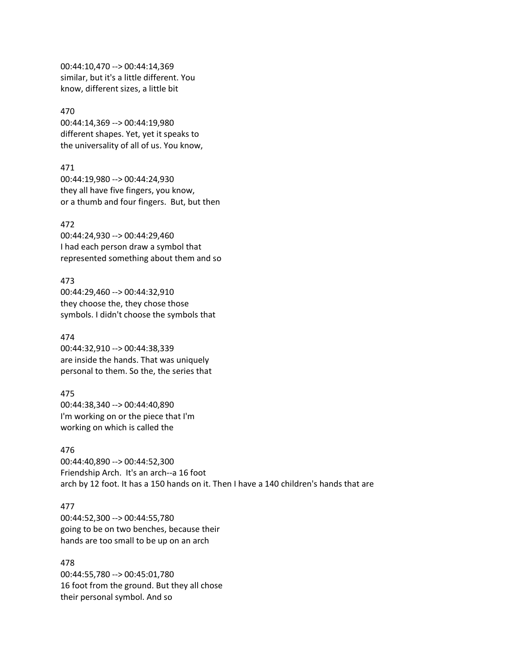00:44:10,470 --> 00:44:14,369 similar, but it's a little different. You know, different sizes, a little bit

470 00:44:14,369 --> 00:44:19,980 different shapes. Yet, yet it speaks to the universality of all of us. You know,

471 00:44:19,980 --> 00:44:24,930 they all have five fingers, you know, or a thumb and four fingers. But, but then

472 00:44:24,930 --> 00:44:29,460 I had each person draw a symbol that represented something about them and so

473 00:44:29,460 --> 00:44:32,910 they choose the, they chose those symbols. I didn't choose the symbols that

474 00:44:32,910 --> 00:44:38,339 are inside the hands. That was uniquely personal to them. So the, the series that

475 00:44:38,340 --> 00:44:40,890 I'm working on or the piece that I'm working on which is called the

476 00:44:40,890 --> 00:44:52,300 Friendship Arch. It's an arch--a 16 foot arch by 12 foot. It has a 150 hands on it. Then I have a 140 children's hands that are

#### 477

00:44:52,300 --> 00:44:55,780 going to be on two benches, because their hands are too small to be up on an arch

478 00:44:55,780 --> 00:45:01,780 16 foot from the ground. But they all chose their personal symbol. And so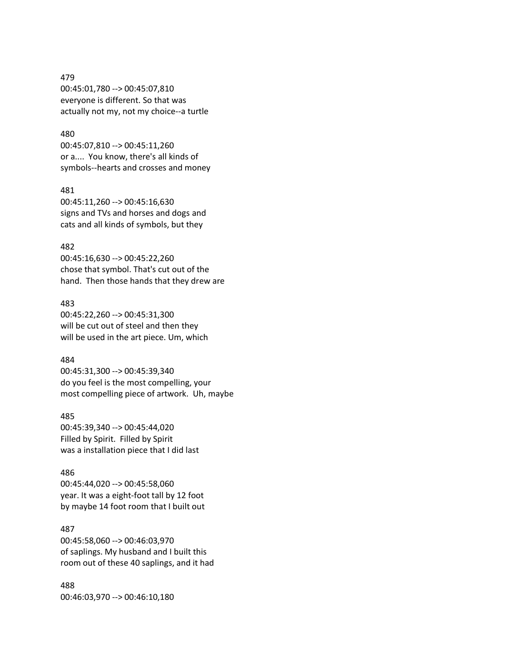# 479 00:45:01,780 --> 00:45:07,810 everyone is different. So that was actually not my, not my choice--a turtle

# 480

00:45:07,810 --> 00:45:11,260 or a.... You know, there's all kinds of symbols--hearts and crosses and money

### 481

00:45:11,260 --> 00:45:16,630 signs and TVs and horses and dogs and cats and all kinds of symbols, but they

### 482

00:45:16,630 --> 00:45:22,260 chose that symbol. That's cut out of the hand. Then those hands that they drew are

### 483

00:45:22,260 --> 00:45:31,300 will be cut out of steel and then they will be used in the art piece. Um, which

# 484

00:45:31,300 --> 00:45:39,340 do you feel is the most compelling, your most compelling piece of artwork. Uh, maybe

# 485

00:45:39,340 --> 00:45:44,020 Filled by Spirit. Filled by Spirit was a installation piece that I did last

### 486

00:45:44,020 --> 00:45:58,060 year. It was a eight-foot tall by 12 foot by maybe 14 foot room that I built out

# 487

00:45:58,060 --> 00:46:03,970 of saplings. My husband and I built this room out of these 40 saplings, and it had

488 00:46:03,970 --> 00:46:10,180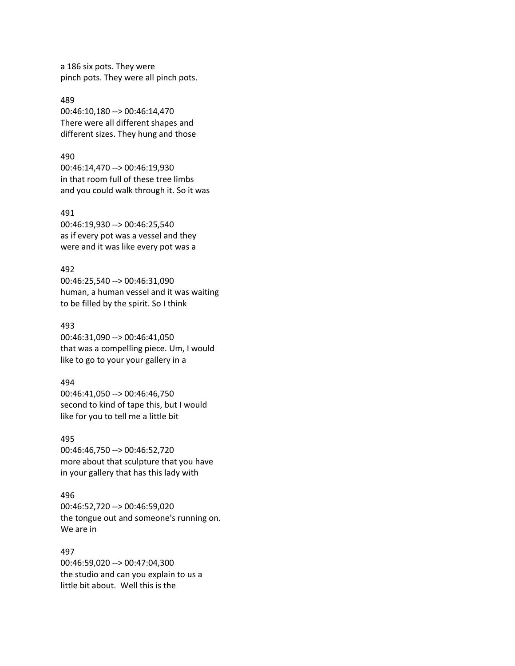a 186 six pots. They were pinch pots. They were all pinch pots.

489 00:46:10,180 --> 00:46:14,470 There were all different shapes and different sizes. They hung and those

#### 490

00:46:14,470 --> 00:46:19,930 in that room full of these tree limbs and you could walk through it. So it was

491

00:46:19,930 --> 00:46:25,540 as if every pot was a vessel and they were and it was like every pot was a

### 492

00:46:25,540 --> 00:46:31,090 human, a human vessel and it was waiting to be filled by the spirit. So I think

### 493

00:46:31,090 --> 00:46:41,050 that was a compelling piece. Um, I would like to go to your your gallery in a

#### 494

00:46:41,050 --> 00:46:46,750 second to kind of tape this, but I would like for you to tell me a little bit

# 495

00:46:46,750 --> 00:46:52,720 more about that sculpture that you have in your gallery that has this lady with

#### 496

00:46:52,720 --> 00:46:59,020 the tongue out and someone's running on. We are in

### 497

00:46:59,020 --> 00:47:04,300 the studio and can you explain to us a little bit about. Well this is the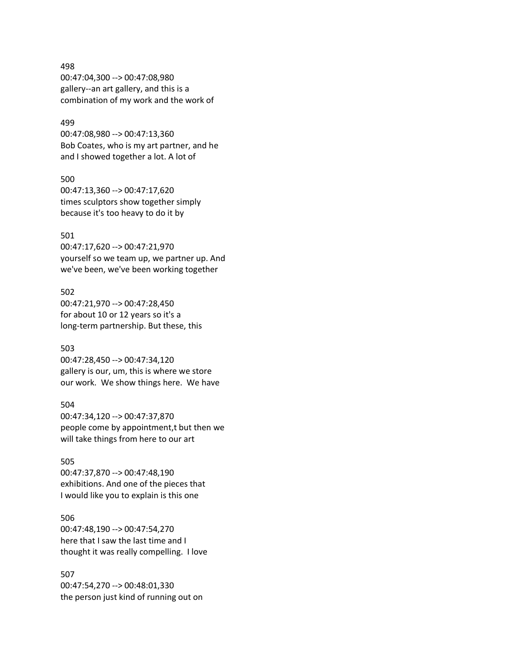498 00:47:04,300 --> 00:47:08,980 gallery--an art gallery, and this is a combination of my work and the work of

### 499

00:47:08,980 --> 00:47:13,360 Bob Coates, who is my art partner, and he and I showed together a lot. A lot of

### 500

00:47:13,360 --> 00:47:17,620 times sculptors show together simply because it's too heavy to do it by

# 501

00:47:17,620 --> 00:47:21,970 yourself so we team up, we partner up. And we've been, we've been working together

502 00:47:21,970 --> 00:47:28,450 for about 10 or 12 years so it's a long-term partnership. But these, this

### 503

00:47:28,450 --> 00:47:34,120 gallery is our, um, this is where we store our work. We show things here. We have

### 504

00:47:34,120 --> 00:47:37,870 people come by appointment,t but then we will take things from here to our art

#### 505

00:47:37,870 --> 00:47:48,190 exhibitions. And one of the pieces that I would like you to explain is this one

# 506

00:47:48,190 --> 00:47:54,270 here that I saw the last time and I thought it was really compelling. I love

# 507

00:47:54,270 --> 00:48:01,330 the person just kind of running out on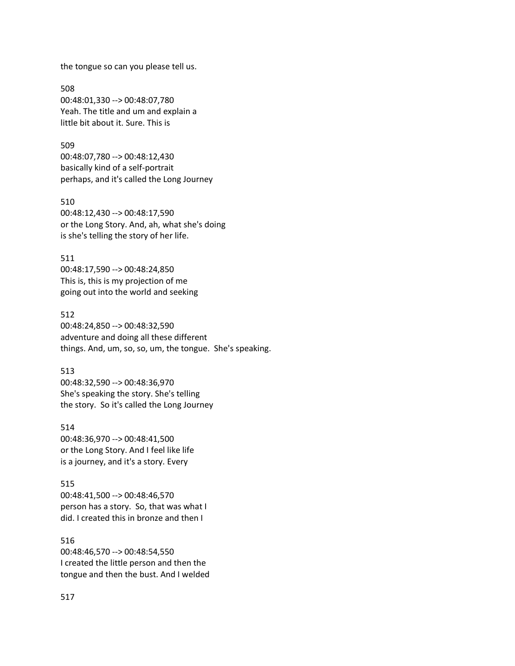the tongue so can you please tell us.

508 00:48:01,330 --> 00:48:07,780 Yeah. The title and um and explain a little bit about it. Sure. This is

509 00:48:07,780 --> 00:48:12,430 basically kind of a self-portrait perhaps, and it's called the Long Journey

510 00:48:12,430 --> 00:48:17,590 or the Long Story. And, ah, what she's doing is she's telling the story of her life.

511 00:48:17,590 --> 00:48:24,850 This is, this is my projection of me going out into the world and seeking

512 00:48:24,850 --> 00:48:32,590 adventure and doing all these different things. And, um, so, so, um, the tongue. She's speaking.

513 00:48:32,590 --> 00:48:36,970 She's speaking the story. She's telling the story. So it's called the Long Journey

514 00:48:36,970 --> 00:48:41,500 or the Long Story. And I feel like life is a journey, and it's a story. Every

515 00:48:41,500 --> 00:48:46,570 person has a story. So, that was what I did. I created this in bronze and then I

516 00:48:46,570 --> 00:48:54,550 I created the little person and then the tongue and then the bust. And I welded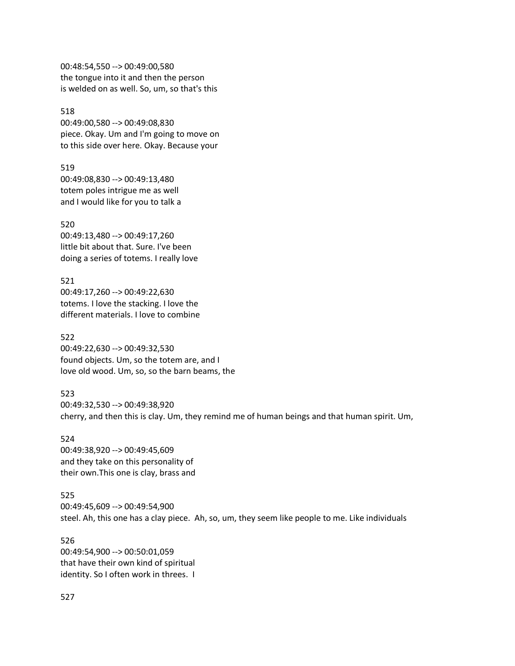00:48:54,550 --> 00:49:00,580 the tongue into it and then the person is welded on as well. So, um, so that's this

518 00:49:00,580 --> 00:49:08,830 piece. Okay. Um and I'm going to move on to this side over here. Okay. Because your

519 00:49:08,830 --> 00:49:13,480 totem poles intrigue me as well and I would like for you to talk a

520 00:49:13,480 --> 00:49:17,260 little bit about that. Sure. I've been doing a series of totems. I really love

521 00:49:17,260 --> 00:49:22,630 totems. I love the stacking. I love the different materials. I love to combine

522 00:49:22,630 --> 00:49:32,530 found objects. Um, so the totem are, and I love old wood. Um, so, so the barn beams, the

523 00:49:32,530 --> 00:49:38,920 cherry, and then this is clay. Um, they remind me of human beings and that human spirit. Um,

524 00:49:38,920 --> 00:49:45,609 and they take on this personality of their own.This one is clay, brass and

525 00:49:45,609 --> 00:49:54,900 steel. Ah, this one has a clay piece. Ah, so, um, they seem like people to me. Like individuals

526 00:49:54,900 --> 00:50:01,059 that have their own kind of spiritual identity. So I often work in threes. I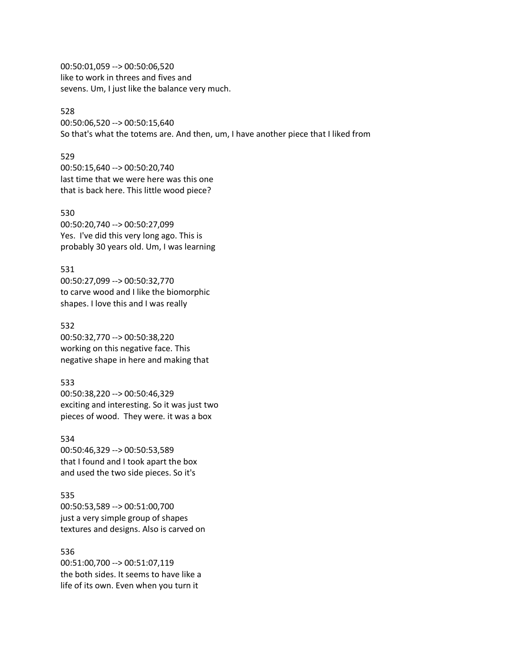00:50:01,059 --> 00:50:06,520 like to work in threes and fives and sevens. Um, I just like the balance very much.

# 528

00:50:06,520 --> 00:50:15,640 So that's what the totems are. And then, um, I have another piece that I liked from

### 529

00:50:15,640 --> 00:50:20,740 last time that we were here was this one that is back here. This little wood piece?

### 530

00:50:20,740 --> 00:50:27,099 Yes. I've did this very long ago. This is probably 30 years old. Um, I was learning

### 531

00:50:27,099 --> 00:50:32,770 to carve wood and I like the biomorphic shapes. I love this and I was really

#### 532

00:50:32,770 --> 00:50:38,220 working on this negative face. This negative shape in here and making that

### 533

00:50:38,220 --> 00:50:46,329 exciting and interesting. So it was just two pieces of wood. They were. it was a box

#### 534

00:50:46,329 --> 00:50:53,589 that I found and I took apart the box and used the two side pieces. So it's

# 535

00:50:53,589 --> 00:51:00,700 just a very simple group of shapes textures and designs. Also is carved on

### 536

00:51:00,700 --> 00:51:07,119 the both sides. It seems to have like a life of its own. Even when you turn it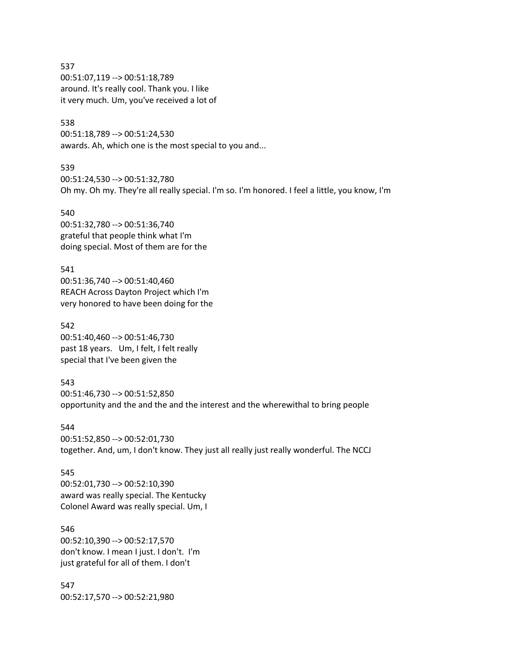537 00:51:07,119 --> 00:51:18,789 around. It's really cool. Thank you. I like it very much. Um, you've received a lot of

#### 538

00:51:18,789 --> 00:51:24,530 awards. Ah, which one is the most special to you and...

539 00:51:24,530 --> 00:51:32,780 Oh my. Oh my. They're all really special. I'm so. I'm honored. I feel a little, you know, I'm

540 00:51:32,780 --> 00:51:36,740 grateful that people think what I'm doing special. Most of them are for the

541 00:51:36,740 --> 00:51:40,460 REACH Across Dayton Project which I'm very honored to have been doing for the

542 00:51:40,460 --> 00:51:46,730 past 18 years. Um, I felt, I felt really special that I've been given the

543 00:51:46,730 --> 00:51:52,850 opportunity and the and the and the interest and the wherewithal to bring people

544 00:51:52,850 --> 00:52:01,730 together. And, um, I don't know. They just all really just really wonderful. The NCCJ

545 00:52:01,730 --> 00:52:10,390 award was really special. The Kentucky Colonel Award was really special. Um, I

546 00:52:10,390 --> 00:52:17,570 don't know. I mean I just. I don't. I'm just grateful for all of them. I don't

547 00:52:17,570 --> 00:52:21,980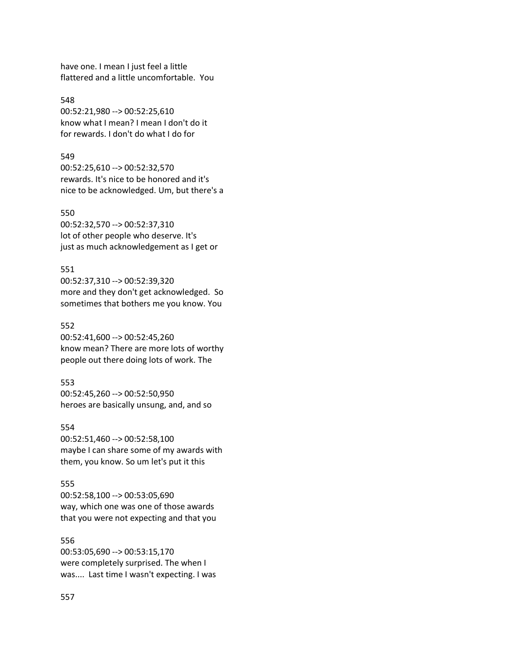have one. I mean I just feel a little flattered and a little uncomfortable. You

548 00:52:21,980 --> 00:52:25,610 know what I mean? I mean I don't do it for rewards. I don't do what I do for

#### 549

00:52:25,610 --> 00:52:32,570 rewards. It's nice to be honored and it's nice to be acknowledged. Um, but there's a

### 550

00:52:32,570 --> 00:52:37,310 lot of other people who deserve. It's just as much acknowledgement as I get or

### 551

00:52:37,310 --> 00:52:39,320 more and they don't get acknowledged. So sometimes that bothers me you know. You

#### 552

00:52:41,600 --> 00:52:45,260 know mean? There are more lots of worthy people out there doing lots of work. The

#### 553

00:52:45,260 --> 00:52:50,950 heroes are basically unsung, and, and so

#### 554

00:52:51,460 --> 00:52:58,100 maybe I can share some of my awards with them, you know. So um let's put it this

## 555

00:52:58,100 --> 00:53:05,690 way, which one was one of those awards that you were not expecting and that you

# 556

00:53:05,690 --> 00:53:15,170 were completely surprised. The when I was.... Last time I wasn't expecting. I was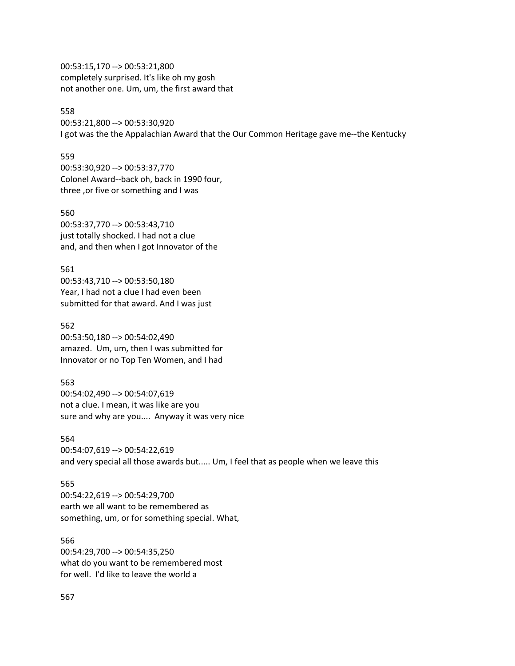00:53:15,170 --> 00:53:21,800 completely surprised. It's like oh my gosh not another one. Um, um, the first award that

# 558

00:53:21,800 --> 00:53:30,920 I got was the the Appalachian Award that the Our Common Heritage gave me--the Kentucky

#### 559

00:53:30,920 --> 00:53:37,770 Colonel Award--back oh, back in 1990 four, three ,or five or something and I was

### 560

00:53:37,770 --> 00:53:43,710 just totally shocked. I had not a clue and, and then when I got Innovator of the

### 561

00:53:43,710 --> 00:53:50,180 Year, I had not a clue I had even been submitted for that award. And I was just

#### 562

00:53:50,180 --> 00:54:02,490 amazed. Um, um, then I was submitted for Innovator or no Top Ten Women, and I had

#### 563

00:54:02,490 --> 00:54:07,619 not a clue. I mean, it was like are you sure and why are you.... Anyway it was very nice

# 564

00:54:07,619 --> 00:54:22,619 and very special all those awards but..... Um, I feel that as people when we leave this

### 565

00:54:22,619 --> 00:54:29,700 earth we all want to be remembered as something, um, or for something special. What,

### 566

00:54:29,700 --> 00:54:35,250 what do you want to be remembered most for well. I'd like to leave the world a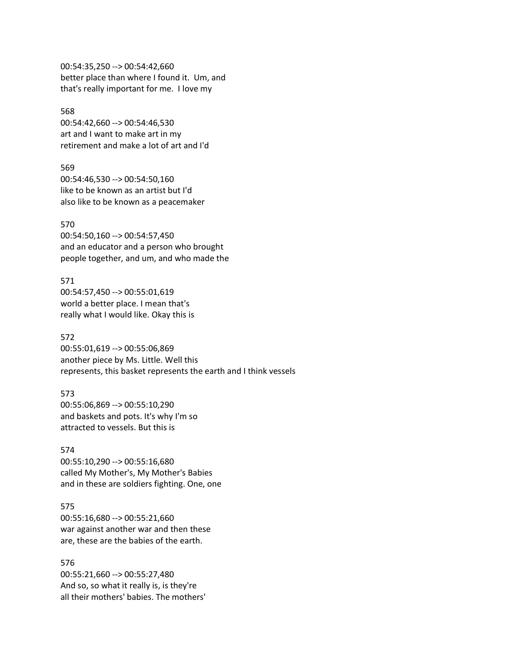00:54:35,250 --> 00:54:42,660 better place than where I found it. Um, and that's really important for me. I love my

568 00:54:42,660 --> 00:54:46,530 art and I want to make art in my retirement and make a lot of art and I'd

569 00:54:46,530 --> 00:54:50,160 like to be known as an artist but I'd also like to be known as a peacemaker

#### 570

00:54:50,160 --> 00:54:57,450 and an educator and a person who brought people together, and um, and who made the

#### 571

00:54:57,450 --> 00:55:01,619 world a better place. I mean that's really what I would like. Okay this is

#### 572

00:55:01,619 --> 00:55:06,869 another piece by Ms. Little. Well this represents, this basket represents the earth and I think vessels

### 573

00:55:06,869 --> 00:55:10,290 and baskets and pots. It's why I'm so attracted to vessels. But this is

### 574

00:55:10,290 --> 00:55:16,680 called My Mother's, My Mother's Babies and in these are soldiers fighting. One, one

### 575

00:55:16,680 --> 00:55:21,660 war against another war and then these are, these are the babies of the earth.

576

00:55:21,660 --> 00:55:27,480 And so, so what it really is, is they're all their mothers' babies. The mothers'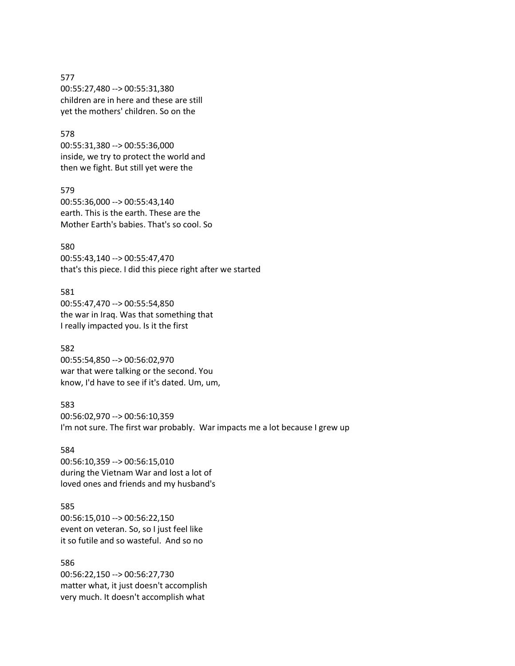577 00:55:27,480 --> 00:55:31,380 children are in here and these are still yet the mothers' children. So on the

### 578

00:55:31,380 --> 00:55:36,000 inside, we try to protect the world and then we fight. But still yet were the

579

00:55:36,000 --> 00:55:43,140 earth. This is the earth. These are the Mother Earth's babies. That's so cool. So

580

00:55:43,140 --> 00:55:47,470 that's this piece. I did this piece right after we started

581 00:55:47,470 --> 00:55:54,850 the war in Iraq. Was that something that I really impacted you. Is it the first

582 00:55:54,850 --> 00:56:02,970 war that were talking or the second. You know, I'd have to see if it's dated. Um, um,

583 00:56:02,970 --> 00:56:10,359 I'm not sure. The first war probably. War impacts me a lot because I grew up

#### 584

00:56:10,359 --> 00:56:15,010 during the Vietnam War and lost a lot of loved ones and friends and my husband's

### 585

00:56:15,010 --> 00:56:22,150 event on veteran. So, so I just feel like it so futile and so wasteful. And so no

586 00:56:22,150 --> 00:56:27,730 matter what, it just doesn't accomplish very much. It doesn't accomplish what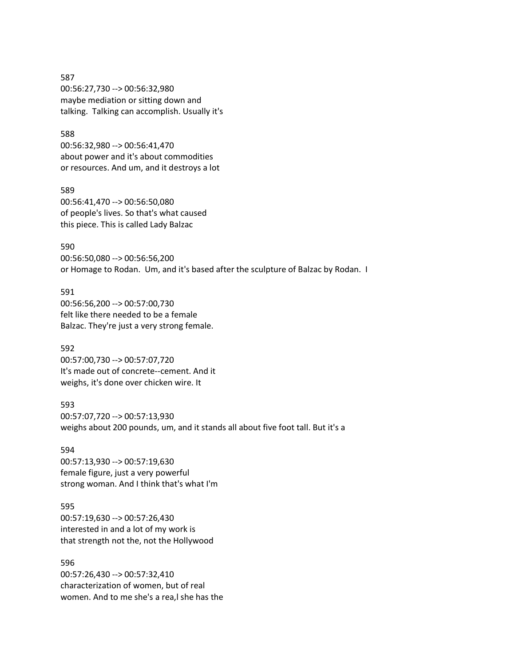587 00:56:27,730 --> 00:56:32,980 maybe mediation or sitting down and talking. Talking can accomplish. Usually it's

# 588

00:56:32,980 --> 00:56:41,470 about power and it's about commodities or resources. And um, and it destroys a lot

### 589

00:56:41,470 --> 00:56:50,080 of people's lives. So that's what caused this piece. This is called Lady Balzac

### 590

00:56:50,080 --> 00:56:56,200 or Homage to Rodan. Um, and it's based after the sculpture of Balzac by Rodan. I

591 00:56:56,200 --> 00:57:00,730 felt like there needed to be a female Balzac. They're just a very strong female.

# 592

00:57:00,730 --> 00:57:07,720 It's made out of concrete--cement. And it weighs, it's done over chicken wire. It

593

00:57:07,720 --> 00:57:13,930 weighs about 200 pounds, um, and it stands all about five foot tall. But it's a

# 594

00:57:13,930 --> 00:57:19,630 female figure, just a very powerful strong woman. And I think that's what I'm

# 595

00:57:19,630 --> 00:57:26,430 interested in and a lot of my work is that strength not the, not the Hollywood

596

00:57:26,430 --> 00:57:32,410 characterization of women, but of real women. And to me she's a rea,l she has the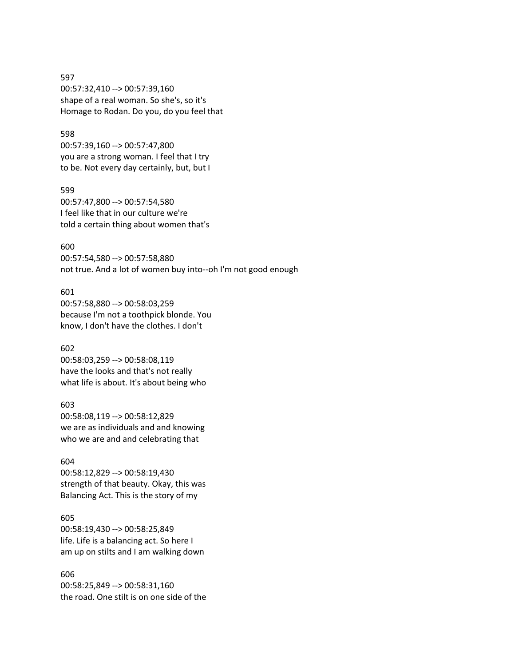597 00:57:32,410 --> 00:57:39,160 shape of a real woman. So she's, so it's Homage to Rodan. Do you, do you feel that

# 598

00:57:39,160 --> 00:57:47,800 you are a strong woman. I feel that I try to be. Not every day certainly, but, but I

### 599

00:57:47,800 --> 00:57:54,580 I feel like that in our culture we're told a certain thing about women that's

### 600

00:57:54,580 --> 00:57:58,880 not true. And a lot of women buy into--oh I'm not good enough

# 601

00:57:58,880 --> 00:58:03,259 because I'm not a toothpick blonde. You know, I don't have the clothes. I don't

#### 602

00:58:03,259 --> 00:58:08,119 have the looks and that's not really what life is about. It's about being who

### 603

00:58:08,119 --> 00:58:12,829 we are as individuals and and knowing who we are and and celebrating that

#### 604

00:58:12,829 --> 00:58:19,430 strength of that beauty. Okay, this was Balancing Act. This is the story of my

# 605

00:58:19,430 --> 00:58:25,849 life. Life is a balancing act. So here I am up on stilts and I am walking down

### 606

00:58:25,849 --> 00:58:31,160 the road. One stilt is on one side of the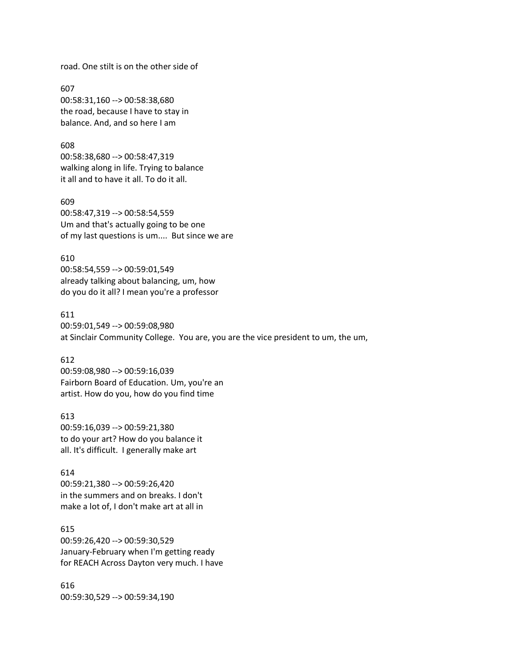road. One stilt is on the other side of

607 00:58:31,160 --> 00:58:38,680 the road, because I have to stay in balance. And, and so here I am

608 00:58:38,680 --> 00:58:47,319 walking along in life. Trying to balance it all and to have it all. To do it all.

609 00:58:47,319 --> 00:58:54,559 Um and that's actually going to be one of my last questions is um.... But since we are

610 00:58:54,559 --> 00:59:01,549 already talking about balancing, um, how do you do it all? I mean you're a professor

611 00:59:01,549 --> 00:59:08,980 at Sinclair Community College. You are, you are the vice president to um, the um,

### 612

00:59:08,980 --> 00:59:16,039 Fairborn Board of Education. Um, you're an artist. How do you, how do you find time

613 00:59:16,039 --> 00:59:21,380 to do your art? How do you balance it all. It's difficult. I generally make art

614 00:59:21,380 --> 00:59:26,420 in the summers and on breaks. I don't make a lot of, I don't make art at all in

615 00:59:26,420 --> 00:59:30,529 January-February when I'm getting ready for REACH Across Dayton very much. I have

616 00:59:30,529 --> 00:59:34,190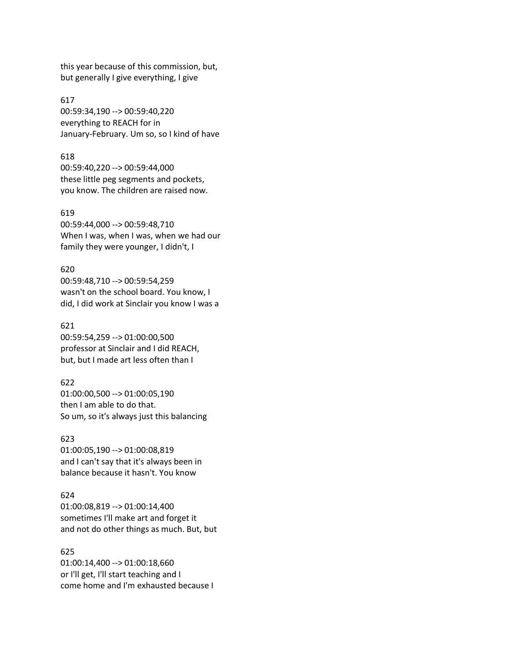this year because of this commission, but, but generally I give everything, I give

617 00:59:34,190 --> 00:59:40,220 everything to REACH for in January-February. Um so, so I kind of have

### 618

00:59:40,220 --> 00:59:44,000 these little peg segments and pockets, you know. The children are raised now.

### 619

00:59:44,000 --> 00:59:48,710 When I was, when I was, when we had our family they were younger, I didn't, I

### 620

00:59:48,710 --> 00:59:54,259 wasn't on the school board. You know, I did, I did work at Sinclair you know I was a

### 621

00:59:54,259 --> 01:00:00,500 professor at Sinclair and I did REACH, but, but I made art less often than I

#### 622

01:00:00,500 --> 01:00:05,190 then I am able to do that. So um, so it's always just this balancing

# 623

01:00:05,190 --> 01:00:08,819 and I can't say that it's always been in balance because it hasn't. You know

### 624

01:00:08,819 --> 01:00:14,400 sometimes I'll make art and forget it and not do other things as much. But, but

# 625

01:00:14,400 --> 01:00:18,660 or I'll get, I'll start teaching and I come home and I'm exhausted because I